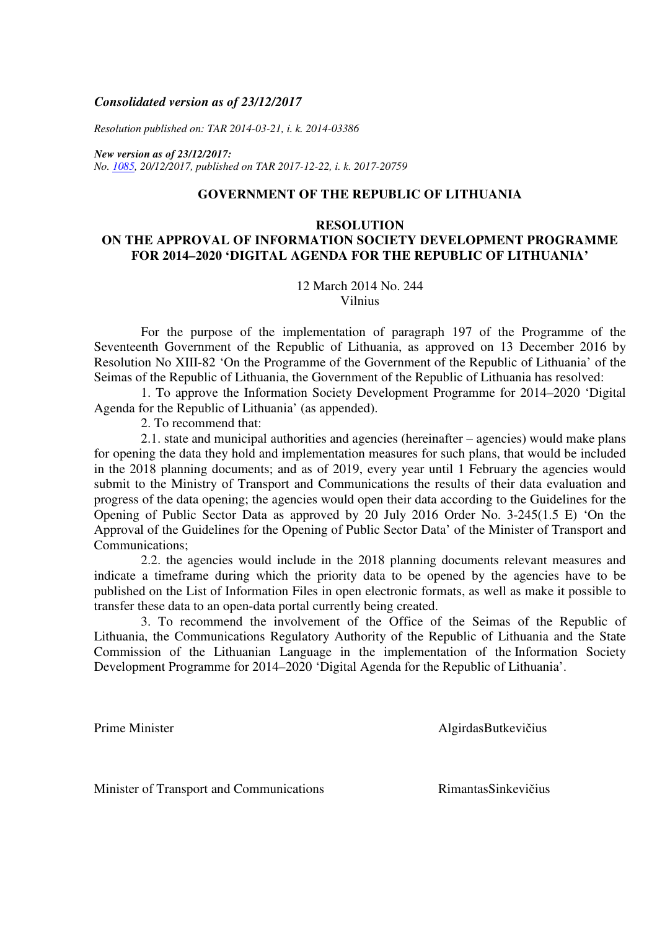#### *Consolidated version as of 23/12/2017*

*Resolution published on: TAR 2014-03-21, i. k. 2014-03386*

*New version as of 23/12/2017: No. 1085, 20/12/2017, published on TAR 2017-12-22, i. k. 2017-20759* 

#### **GOVERNMENT OF THE REPUBLIC OF LITHUANIA**

# **RESOLUTION ON THE APPROVAL OF INFORMATION SOCIETY DEVELOPMENT PROGRAMME FOR 2014–2020 'DIGITAL AGENDA FOR THE REPUBLIC OF LITHUANIA'**

#### 12 March 2014 No. 244 Vilnius

For the purpose of the implementation of paragraph 197 of the Programme of the Seventeenth Government of the Republic of Lithuania, as approved on 13 December 2016 by Resolution No XIII-82 'On the Programme of the Government of the Republic of Lithuania' of the Seimas of the Republic of Lithuania, the Government of the Republic of Lithuania has resolved:

1. To approve the Information Society Development Programme for 2014–2020 'Digital Agenda for the Republic of Lithuania' (as appended).

2. To recommend that:

2.1. state and municipal authorities and agencies (hereinafter – agencies) would make plans for opening the data they hold and implementation measures for such plans, that would be included in the 2018 planning documents; and as of 2019, every year until 1 February the agencies would submit to the Ministry of Transport and Communications the results of their data evaluation and progress of the data opening; the agencies would open their data according to the Guidelines for the Opening of Public Sector Data as approved by 20 July 2016 Order No. 3-245(1.5 E) 'On the Approval of the Guidelines for the Opening of Public Sector Data' of the Minister of Transport and Communications;

2.2. the agencies would include in the 2018 planning documents relevant measures and indicate a timeframe during which the priority data to be opened by the agencies have to be published on the List of Information Files in open electronic formats, as well as make it possible to transfer these data to an open-data portal currently being created.

3. To recommend the involvement of the Office of the Seimas of the Republic of Lithuania, the Communications Regulatory Authority of the Republic of Lithuania and the State Commission of the Lithuanian Language in the implementation of the Information Society Development Programme for 2014–2020 'Digital Agenda for the Republic of Lithuania'.

Prime Minister AlgirdasButkevičius

Minister of Transport and Communications RimantasSinkevičius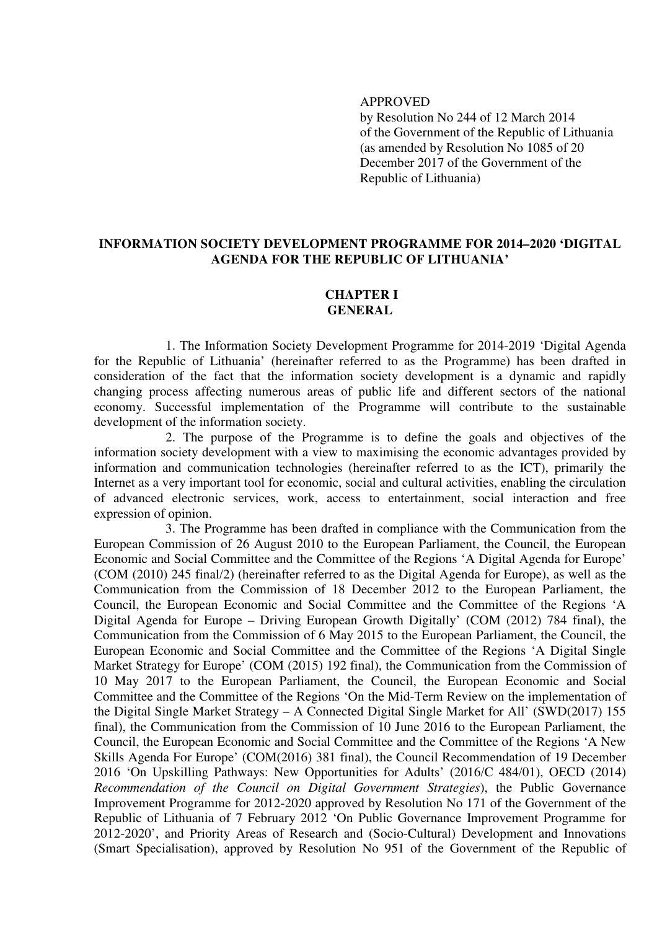## APPROVED

by Resolution No 244 of 12 March 2014 of the Government of the Republic of Lithuania (as amended by Resolution No 1085 of 20 December 2017 of the Government of the Republic of Lithuania)

## **INFORMATION SOCIETY DEVELOPMENT PROGRAMME FOR 2014–2020 'DIGITAL AGENDA FOR THE REPUBLIC OF LITHUANIA'**

## **CHAPTER I GENERAL**

1. The Information Society Development Programme for 2014-2019 'Digital Agenda for the Republic of Lithuania' (hereinafter referred to as the Programme) has been drafted in consideration of the fact that the information society development is a dynamic and rapidly changing process affecting numerous areas of public life and different sectors of the national economy. Successful implementation of the Programme will contribute to the sustainable development of the information society.

2. The purpose of the Programme is to define the goals and objectives of the information society development with a view to maximising the economic advantages provided by information and communication technologies (hereinafter referred to as the ICT), primarily the Internet as a very important tool for economic, social and cultural activities, enabling the circulation of advanced electronic services, work, access to entertainment, social interaction and free expression of opinion.

3. The Programme has been drafted in compliance with the Communication from the European Commission of 26 August 2010 to the European Parliament, the Council, the European Economic and Social Committee and the Committee of the Regions 'A Digital Agenda for Europe' (COM (2010) 245 final/2) (hereinafter referred to as the Digital Agenda for Europe), as well as the Communication from the Commission of 18 December 2012 to the European Parliament, the Council, the European Economic and Social Committee and the Committee of the Regions 'A Digital Agenda for Europe – Driving European Growth Digitally' (COM (2012) 784 final), the Communication from the Commission of 6 May 2015 to the European Parliament, the Council, the European Economic and Social Committee and the Committee of the Regions 'A Digital Single Market Strategy for Europe' (COM (2015) 192 final), the Communication from the Commission of 10 May 2017 to the European Parliament, the Council, the European Economic and Social Committee and the Committee of the Regions 'On the Mid-Term Review on the implementation of the Digital Single Market Strategy – A Connected Digital Single Market for All' (SWD(2017) 155 final), the Communication from the Commission of 10 June 2016 to the European Parliament, the Council, the European Economic and Social Committee and the Committee of the Regions 'A New Skills Agenda For Europe' (COM(2016) 381 final), the Council Recommendation of 19 December 2016 'On Upskilling Pathways: New Opportunities for Adults' (2016/C 484/01), OECD (2014) *Recommendation of the Council on Digital Government Strategies*), the Public Governance Improvement Programme for 2012-2020 approved by Resolution No 171 of the Government of the Republic of Lithuania of 7 February 2012 'On Public Governance Improvement Programme for 2012-2020', and Priority Areas of Research and (Socio-Cultural) Development and Innovations (Smart Specialisation), approved by Resolution No 951 of the Government of the Republic of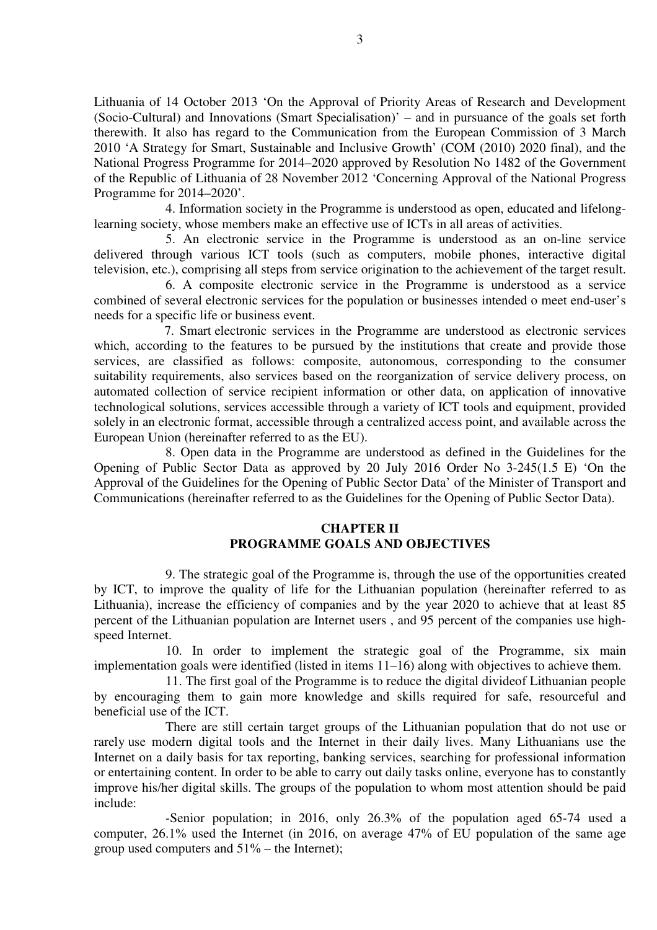Lithuania of 14 October 2013 'On the Approval of Priority Areas of Research and Development (Socio-Cultural) and Innovations (Smart Specialisation)' – and in pursuance of the goals set forth therewith. It also has regard to the Communication from the European Commission of 3 March 2010 'A Strategy for Smart, Sustainable and Inclusive Growth' (COM (2010) 2020 final), and the National Progress Programme for 2014–2020 approved by Resolution No 1482 of the Government of the Republic of Lithuania of 28 November 2012 'Concerning Approval of the National Progress Programme for 2014–2020'.

4. Information society in the Programme is understood as open, educated and lifelonglearning society, whose members make an effective use of ICTs in all areas of activities.

5. An electronic service in the Programme is understood as an on-line service delivered through various ICT tools (such as computers, mobile phones, interactive digital television, etc.), comprising all steps from service origination to the achievement of the target result.

6. A composite electronic service in the Programme is understood as a service combined of several electronic services for the population or businesses intended o meet end-user's needs for a specific life or business event.

7. Smart electronic services in the Programme are understood as electronic services which, according to the features to be pursued by the institutions that create and provide those services, are classified as follows: composite, autonomous, corresponding to the consumer suitability requirements, also services based on the reorganization of service delivery process, on automated collection of service recipient information or other data, on application of innovative technological solutions, services accessible through a variety of ICT tools and equipment, provided solely in an electronic format, accessible through a centralized access point, and available across the European Union (hereinafter referred to as the EU).

8. Open data in the Programme are understood as defined in the Guidelines for the Opening of Public Sector Data as approved by 20 July 2016 Order No 3-245(1.5 E) 'On the Approval of the Guidelines for the Opening of Public Sector Data' of the Minister of Transport and Communications (hereinafter referred to as the Guidelines for the Opening of Public Sector Data).

## **CHAPTER II PROGRAMME GOALS AND OBJECTIVES**

9. The strategic goal of the Programme is, through the use of the opportunities created by ICT, to improve the quality of life for the Lithuanian population (hereinafter referred to as Lithuania), increase the efficiency of companies and by the year 2020 to achieve that at least 85 percent of the Lithuanian population are Internet users , and 95 percent of the companies use highspeed Internet.

10. In order to implement the strategic goal of the Programme, six main implementation goals were identified (listed in items 11–16) along with objectives to achieve them.

11. The first goal of the Programme is to reduce the digital divideof Lithuanian people by encouraging them to gain more knowledge and skills required for safe, resourceful and beneficial use of the ICT.

There are still certain target groups of the Lithuanian population that do not use or rarely use modern digital tools and the Internet in their daily lives. Many Lithuanians use the Internet on a daily basis for tax reporting, banking services, searching for professional information or entertaining content. In order to be able to carry out daily tasks online, everyone has to constantly improve his/her digital skills. The groups of the population to whom most attention should be paid include:

-Senior population; in 2016, only 26.3% of the population aged 65-74 used a computer, 26.1% used the Internet (in 2016, on average 47% of EU population of the same age group used computers and  $51\%$  – the Internet);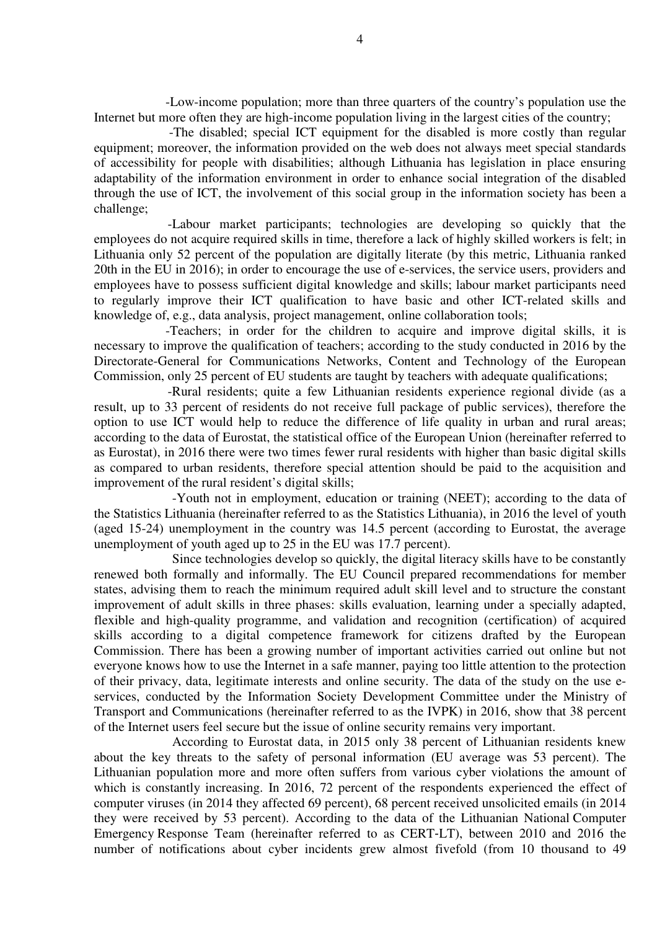-Low-income population; more than three quarters of the country's population use the Internet but more often they are high-income population living in the largest cities of the country;

-The disabled; special ICT equipment for the disabled is more costly than regular equipment; moreover, the information provided on the web does not always meet special standards of accessibility for people with disabilities; although Lithuania has legislation in place ensuring adaptability of the information environment in order to enhance social integration of the disabled through the use of ICT, the involvement of this social group in the information society has been a challenge;

-Labour market participants; technologies are developing so quickly that the employees do not acquire required skills in time, therefore a lack of highly skilled workers is felt; in Lithuania only 52 percent of the population are digitally literate (by this metric, Lithuania ranked 20th in the EU in 2016); in order to encourage the use of e-services, the service users, providers and employees have to possess sufficient digital knowledge and skills; labour market participants need to regularly improve their ICT qualification to have basic and other ICT-related skills and knowledge of, e.g., data analysis, project management, online collaboration tools;

-Teachers; in order for the children to acquire and improve digital skills, it is necessary to improve the qualification of teachers; according to the study conducted in 2016 by the Directorate-General for Communications Networks, Content and Technology of the European Commission, only 25 percent of EU students are taught by teachers with adequate qualifications;

-Rural residents; quite a few Lithuanian residents experience regional divide (as a result, up to 33 percent of residents do not receive full package of public services), therefore the option to use ICT would help to reduce the difference of life quality in urban and rural areas; according to the data of Eurostat, the statistical office of the European Union (hereinafter referred to as Eurostat), in 2016 there were two times fewer rural residents with higher than basic digital skills as compared to urban residents, therefore special attention should be paid to the acquisition and improvement of the rural resident's digital skills;

-Youth not in employment, education or training (NEET); according to the data of the Statistics Lithuania (hereinafter referred to as the Statistics Lithuania), in 2016 the level of youth (aged 15-24) unemployment in the country was 14.5 percent (according to Eurostat, the average unemployment of youth aged up to 25 in the EU was 17.7 percent).

Since technologies develop so quickly, the digital literacy skills have to be constantly renewed both formally and informally. The EU Council prepared recommendations for member states, advising them to reach the minimum required adult skill level and to structure the constant improvement of adult skills in three phases: skills evaluation, learning under a specially adapted, flexible and high-quality programme, and validation and recognition (certification) of acquired skills according to a digital competence framework for citizens drafted by the European Commission. There has been a growing number of important activities carried out online but not everyone knows how to use the Internet in a safe manner, paying too little attention to the protection of their privacy, data, legitimate interests and online security. The data of the study on the use eservices, conducted by the Information Society Development Committee under the Ministry of Transport and Communications (hereinafter referred to as the IVPK) in 2016, show that 38 percent of the Internet users feel secure but the issue of online security remains very important.

According to Eurostat data, in 2015 only 38 percent of Lithuanian residents knew about the key threats to the safety of personal information (EU average was 53 percent). The Lithuanian population more and more often suffers from various cyber violations the amount of which is constantly increasing. In 2016, 72 percent of the respondents experienced the effect of computer viruses (in 2014 they affected 69 percent), 68 percent received unsolicited emails (in 2014 they were received by 53 percent). According to the data of the Lithuanian National Computer Emergency Response Team (hereinafter referred to as CERT-LT), between 2010 and 2016 the number of notifications about cyber incidents grew almost fivefold (from 10 thousand to 49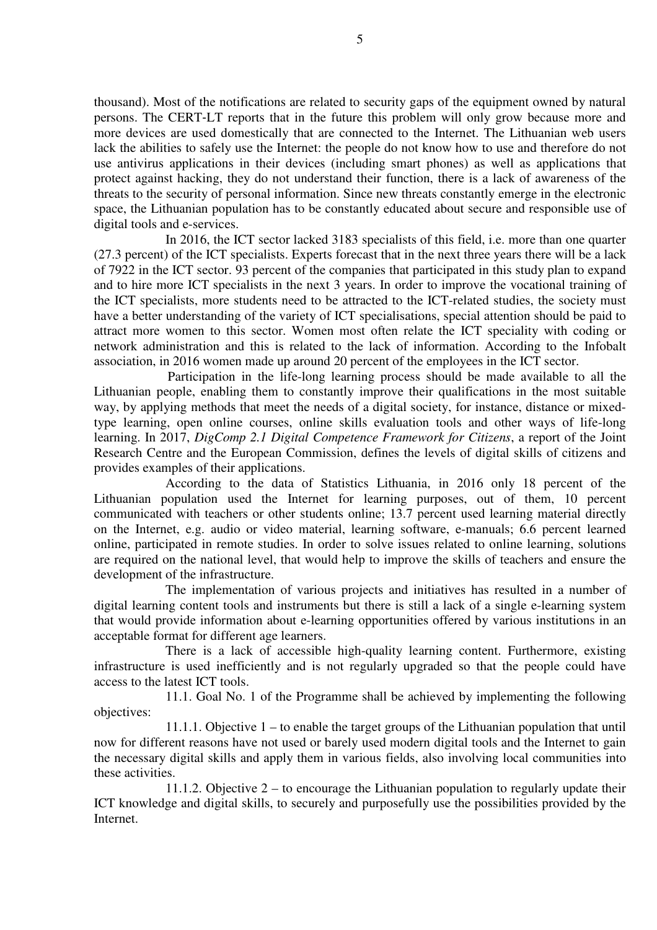thousand). Most of the notifications are related to security gaps of the equipment owned by natural persons. The CERT-LT reports that in the future this problem will only grow because more and more devices are used domestically that are connected to the Internet. The Lithuanian web users lack the abilities to safely use the Internet: the people do not know how to use and therefore do not use antivirus applications in their devices (including smart phones) as well as applications that protect against hacking, they do not understand their function, there is a lack of awareness of the threats to the security of personal information. Since new threats constantly emerge in the electronic space, the Lithuanian population has to be constantly educated about secure and responsible use of digital tools and e-services.

In 2016, the ICT sector lacked 3183 specialists of this field, i.e. more than one quarter (27.3 percent) of the ICT specialists. Experts forecast that in the next three years there will be a lack of 7922 in the ICT sector. 93 percent of the companies that participated in this study plan to expand and to hire more ICT specialists in the next 3 years. In order to improve the vocational training of the ICT specialists, more students need to be attracted to the ICT-related studies, the society must have a better understanding of the variety of ICT specialisations, special attention should be paid to attract more women to this sector. Women most often relate the ICT speciality with coding or network administration and this is related to the lack of information. According to the Infobalt association, in 2016 women made up around 20 percent of the employees in the ICT sector.

Participation in the life-long learning process should be made available to all the Lithuanian people, enabling them to constantly improve their qualifications in the most suitable way, by applying methods that meet the needs of a digital society, for instance, distance or mixedtype learning, open online courses, online skills evaluation tools and other ways of life-long learning. In 2017, *DigComp 2.1 Digital Competence Framework for Citizens*, a report of the Joint Research Centre and the European Commission, defines the levels of digital skills of citizens and provides examples of their applications.

According to the data of Statistics Lithuania, in 2016 only 18 percent of the Lithuanian population used the Internet for learning purposes, out of them, 10 percent communicated with teachers or other students online; 13.7 percent used learning material directly on the Internet, e.g. audio or video material, learning software, e-manuals; 6.6 percent learned online, participated in remote studies. In order to solve issues related to online learning, solutions are required on the national level, that would help to improve the skills of teachers and ensure the development of the infrastructure.

The implementation of various projects and initiatives has resulted in a number of digital learning content tools and instruments but there is still a lack of a single e-learning system that would provide information about e-learning opportunities offered by various institutions in an acceptable format for different age learners.

There is a lack of accessible high-quality learning content. Furthermore, existing infrastructure is used inefficiently and is not regularly upgraded so that the people could have access to the latest ICT tools.

11.1. Goal No. 1 of the Programme shall be achieved by implementing the following objectives:

11.1.1. Objective 1 – to enable the target groups of the Lithuanian population that until now for different reasons have not used or barely used modern digital tools and the Internet to gain the necessary digital skills and apply them in various fields, also involving local communities into these activities.

11.1.2. Objective 2 – to encourage the Lithuanian population to regularly update their ICT knowledge and digital skills, to securely and purposefully use the possibilities provided by the Internet.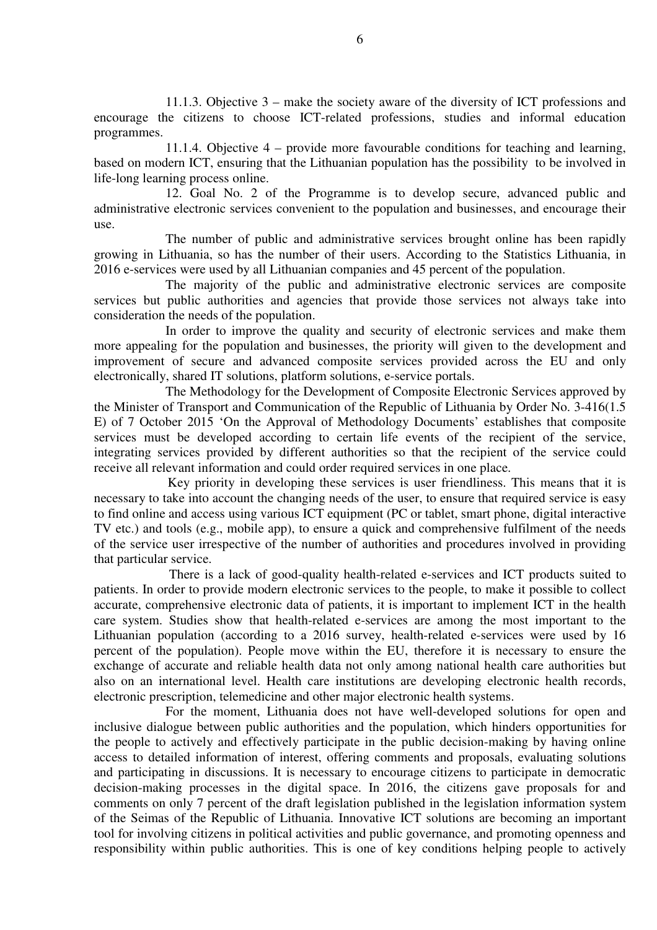11.1.3. Objective 3 – make the society aware of the diversity of ICT professions and encourage the citizens to choose ICT-related professions, studies and informal education programmes.

11.1.4. Objective 4 – provide more favourable conditions for teaching and learning, based on modern ICT, ensuring that the Lithuanian population has the possibility to be involved in life-long learning process online.

12. Goal No. 2 of the Programme is to develop secure, advanced public and administrative electronic services convenient to the population and businesses, and encourage their use.

The number of public and administrative services brought online has been rapidly growing in Lithuania, so has the number of their users. According to the Statistics Lithuania, in 2016 e-services were used by all Lithuanian companies and 45 percent of the population.

The majority of the public and administrative electronic services are composite services but public authorities and agencies that provide those services not always take into consideration the needs of the population.

In order to improve the quality and security of electronic services and make them more appealing for the population and businesses, the priority will given to the development and improvement of secure and advanced composite services provided across the EU and only electronically, shared IT solutions, platform solutions, e-service portals.

The Methodology for the Development of Composite Electronic Services approved by the Minister of Transport and Communication of the Republic of Lithuania by Order No. 3-416(1.5 E) of 7 October 2015 'On the Approval of Methodology Documents' establishes that composite services must be developed according to certain life events of the recipient of the service, integrating services provided by different authorities so that the recipient of the service could receive all relevant information and could order required services in one place.

Key priority in developing these services is user friendliness. This means that it is necessary to take into account the changing needs of the user, to ensure that required service is easy to find online and access using various ICT equipment (PC or tablet, smart phone, digital interactive TV etc.) and tools (e.g., mobile app), to ensure a quick and comprehensive fulfilment of the needs of the service user irrespective of the number of authorities and procedures involved in providing that particular service.

There is a lack of good-quality health-related e-services and ICT products suited to patients. In order to provide modern electronic services to the people, to make it possible to collect accurate, comprehensive electronic data of patients, it is important to implement ICT in the health care system. Studies show that health-related e-services are among the most important to the Lithuanian population (according to a 2016 survey, health-related e-services were used by 16 percent of the population). People move within the EU, therefore it is necessary to ensure the exchange of accurate and reliable health data not only among national health care authorities but also on an international level. Health care institutions are developing electronic health records, electronic prescription, telemedicine and other major electronic health systems.

For the moment, Lithuania does not have well-developed solutions for open and inclusive dialogue between public authorities and the population, which hinders opportunities for the people to actively and effectively participate in the public decision-making by having online access to detailed information of interest, offering comments and proposals, evaluating solutions and participating in discussions. It is necessary to encourage citizens to participate in democratic decision-making processes in the digital space. In 2016, the citizens gave proposals for and comments on only 7 percent of the draft legislation published in the legislation information system of the Seimas of the Republic of Lithuania. Innovative ICT solutions are becoming an important tool for involving citizens in political activities and public governance, and promoting openness and responsibility within public authorities. This is one of key conditions helping people to actively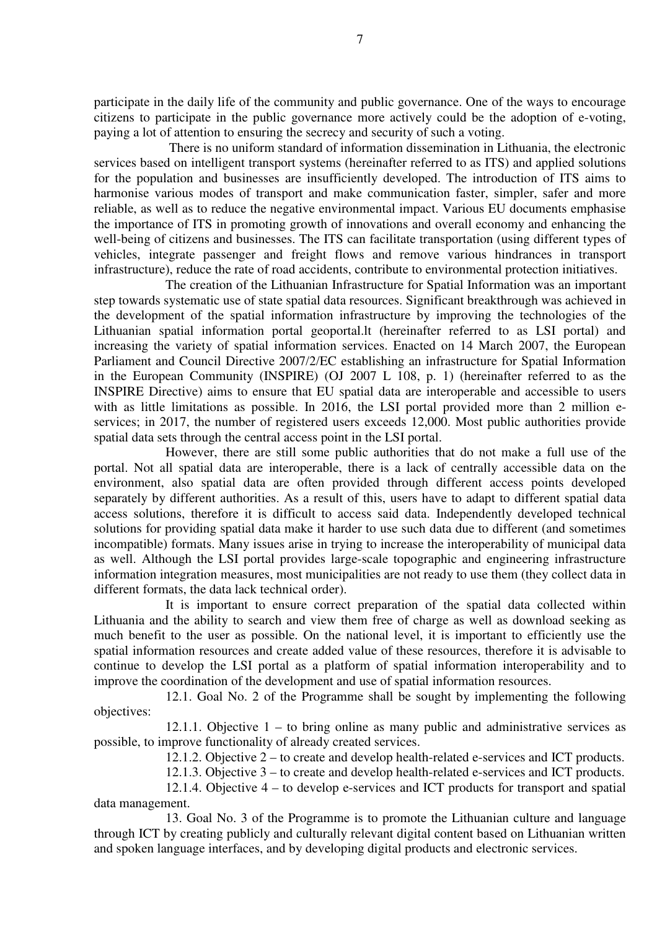participate in the daily life of the community and public governance. One of the ways to encourage citizens to participate in the public governance more actively could be the adoption of e-voting, paying a lot of attention to ensuring the secrecy and security of such a voting.

There is no uniform standard of information dissemination in Lithuania, the electronic services based on intelligent transport systems (hereinafter referred to as ITS) and applied solutions for the population and businesses are insufficiently developed. The introduction of ITS aims to harmonise various modes of transport and make communication faster, simpler, safer and more reliable, as well as to reduce the negative environmental impact. Various EU documents emphasise the importance of ITS in promoting growth of innovations and overall economy and enhancing the well-being of citizens and businesses. The ITS can facilitate transportation (using different types of vehicles, integrate passenger and freight flows and remove various hindrances in transport infrastructure), reduce the rate of road accidents, contribute to environmental protection initiatives.

The creation of the Lithuanian Infrastructure for Spatial Information was an important step towards systematic use of state spatial data resources. Significant breakthrough was achieved in the development of the spatial information infrastructure by improving the technologies of the Lithuanian spatial information portal geoportal.lt (hereinafter referred to as LSI portal) and increasing the variety of spatial information services. Enacted on 14 March 2007, the European Parliament and Council Directive 2007/2/EC establishing an infrastructure for Spatial Information in the European Community (INSPIRE) (OJ 2007 L 108, p. 1) (hereinafter referred to as the INSPIRE Directive) aims to ensure that EU spatial data are interoperable and accessible to users with as little limitations as possible. In 2016, the LSI portal provided more than 2 million eservices; in 2017, the number of registered users exceeds 12,000. Most public authorities provide spatial data sets through the central access point in the LSI portal.

However, there are still some public authorities that do not make a full use of the portal. Not all spatial data are interoperable, there is a lack of centrally accessible data on the environment, also spatial data are often provided through different access points developed separately by different authorities. As a result of this, users have to adapt to different spatial data access solutions, therefore it is difficult to access said data. Independently developed technical solutions for providing spatial data make it harder to use such data due to different (and sometimes incompatible) formats. Many issues arise in trying to increase the interoperability of municipal data as well. Although the LSI portal provides large-scale topographic and engineering infrastructure information integration measures, most municipalities are not ready to use them (they collect data in different formats, the data lack technical order).

It is important to ensure correct preparation of the spatial data collected within Lithuania and the ability to search and view them free of charge as well as download seeking as much benefit to the user as possible. On the national level, it is important to efficiently use the spatial information resources and create added value of these resources, therefore it is advisable to continue to develop the LSI portal as a platform of spatial information interoperability and to improve the coordination of the development and use of spatial information resources.

12.1. Goal No. 2 of the Programme shall be sought by implementing the following objectives:

12.1.1. Objective 1 – to bring online as many public and administrative services as possible, to improve functionality of already created services.

12.1.2. Objective 2 – to create and develop health-related e-services and ICT products.

12.1.3. Objective 3 – to create and develop health-related e-services and ICT products.

12.1.4. Objective 4 – to develop e-services and ICT products for transport and spatial data management.

13. Goal No. 3 of the Programme is to promote the Lithuanian culture and language through ICT by creating publicly and culturally relevant digital content based on Lithuanian written and spoken language interfaces, and by developing digital products and electronic services.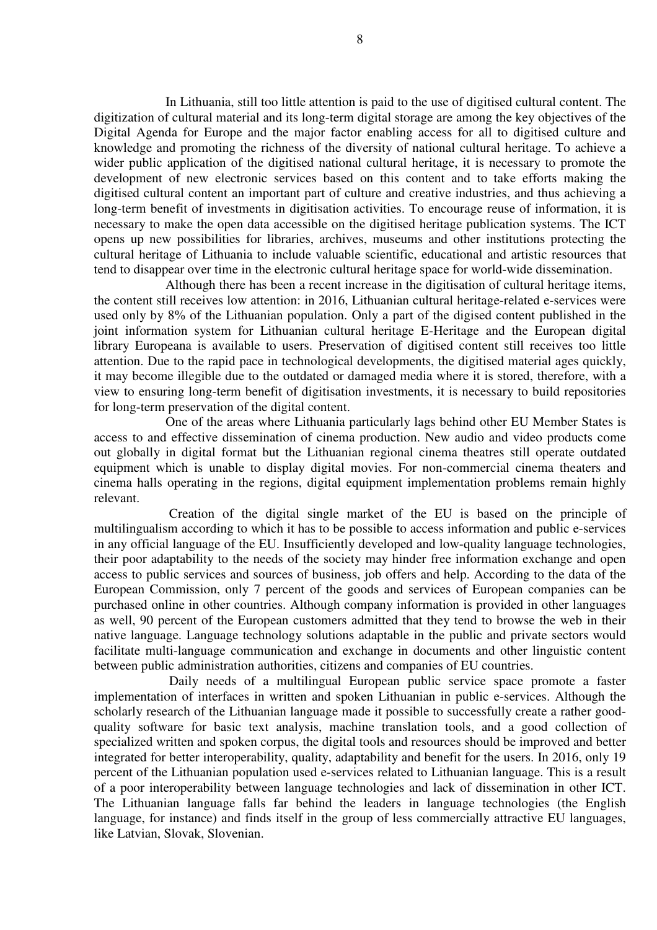In Lithuania, still too little attention is paid to the use of digitised cultural content. The digitization of cultural material and its long-term digital storage are among the key objectives of the Digital Agenda for Europe and the major factor enabling access for all to digitised culture and knowledge and promoting the richness of the diversity of national cultural heritage. To achieve a wider public application of the digitised national cultural heritage, it is necessary to promote the development of new electronic services based on this content and to take efforts making the digitised cultural content an important part of culture and creative industries, and thus achieving a long-term benefit of investments in digitisation activities. To encourage reuse of information, it is necessary to make the open data accessible on the digitised heritage publication systems. The ICT opens up new possibilities for libraries, archives, museums and other institutions protecting the cultural heritage of Lithuania to include valuable scientific, educational and artistic resources that tend to disappear over time in the electronic cultural heritage space for world-wide dissemination.

Although there has been a recent increase in the digitisation of cultural heritage items, the content still receives low attention: in 2016, Lithuanian cultural heritage-related e-services were used only by 8% of the Lithuanian population. Only a part of the digised content published in the joint information system for Lithuanian cultural heritage E-Heritage and the European digital library Europeana is available to users. Preservation of digitised content still receives too little attention. Due to the rapid pace in technological developments, the digitised material ages quickly, it may become illegible due to the outdated or damaged media where it is stored, therefore, with a view to ensuring long-term benefit of digitisation investments, it is necessary to build repositories for long-term preservation of the digital content.

One of the areas where Lithuania particularly lags behind other EU Member States is access to and effective dissemination of cinema production. New audio and video products come out globally in digital format but the Lithuanian regional cinema theatres still operate outdated equipment which is unable to display digital movies. For non-commercial cinema theaters and cinema halls operating in the regions, digital equipment implementation problems remain highly relevant.

Creation of the digital single market of the EU is based on the principle of multilingualism according to which it has to be possible to access information and public e-services in any official language of the EU. Insufficiently developed and low-quality language technologies, their poor adaptability to the needs of the society may hinder free information exchange and open access to public services and sources of business, job offers and help. According to the data of the European Commission, only 7 percent of the goods and services of European companies can be purchased online in other countries. Although company information is provided in other languages as well, 90 percent of the European customers admitted that they tend to browse the web in their native language. Language technology solutions adaptable in the public and private sectors would facilitate multi-language communication and exchange in documents and other linguistic content between public administration authorities, citizens and companies of EU countries.

Daily needs of a multilingual European public service space promote a faster implementation of interfaces in written and spoken Lithuanian in public e-services. Although the scholarly research of the Lithuanian language made it possible to successfully create a rather goodquality software for basic text analysis, machine translation tools, and a good collection of specialized written and spoken corpus, the digital tools and resources should be improved and better integrated for better interoperability, quality, adaptability and benefit for the users. In 2016, only 19 percent of the Lithuanian population used e-services related to Lithuanian language. This is a result of a poor interoperability between language technologies and lack of dissemination in other ICT. The Lithuanian language falls far behind the leaders in language technologies (the English language, for instance) and finds itself in the group of less commercially attractive EU languages, like Latvian, Slovak, Slovenian.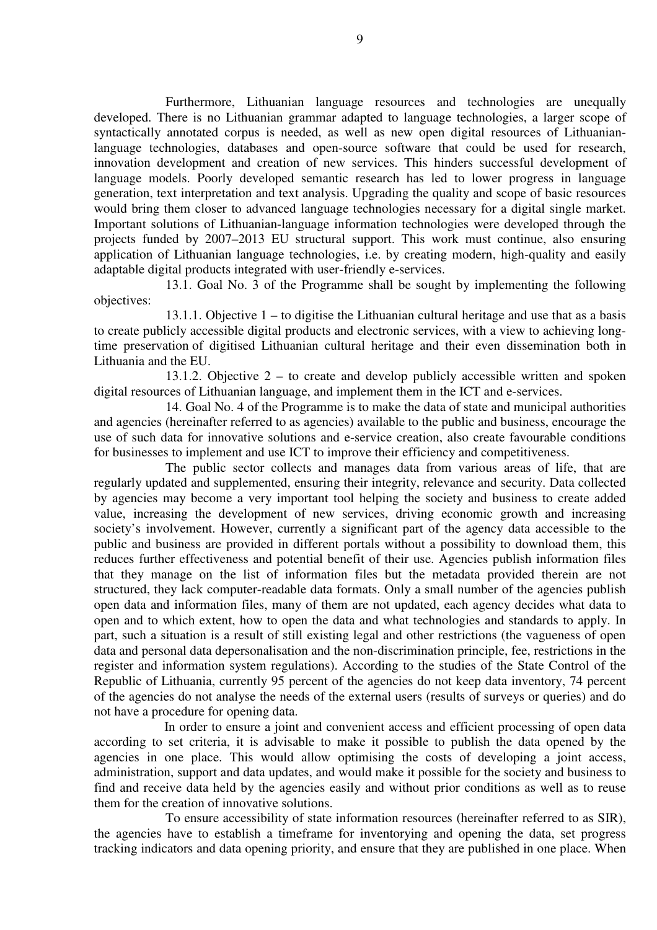Furthermore, Lithuanian language resources and technologies are unequally developed. There is no Lithuanian grammar adapted to language technologies, a larger scope of syntactically annotated corpus is needed, as well as new open digital resources of Lithuanianlanguage technologies, databases and open-source software that could be used for research, innovation development and creation of new services. This hinders successful development of language models. Poorly developed semantic research has led to lower progress in language generation, text interpretation and text analysis. Upgrading the quality and scope of basic resources would bring them closer to advanced language technologies necessary for a digital single market. Important solutions of Lithuanian-language information technologies were developed through the projects funded by 2007–2013 EU structural support. This work must continue, also ensuring application of Lithuanian language technologies, i.e. by creating modern, high-quality and easily adaptable digital products integrated with user-friendly e-services.

13.1. Goal No. 3 of the Programme shall be sought by implementing the following objectives:

13.1.1. Objective 1 – to digitise the Lithuanian cultural heritage and use that as a basis to create publicly accessible digital products and electronic services, with a view to achieving longtime preservation of digitised Lithuanian cultural heritage and their even dissemination both in Lithuania and the EU.

13.1.2. Objective 2 – to create and develop publicly accessible written and spoken digital resources of Lithuanian language, and implement them in the ICT and e-services.

14. Goal No. 4 of the Programme is to make the data of state and municipal authorities and agencies (hereinafter referred to as agencies) available to the public and business, encourage the use of such data for innovative solutions and e-service creation, also create favourable conditions for businesses to implement and use ICT to improve their efficiency and competitiveness.

The public sector collects and manages data from various areas of life, that are regularly updated and supplemented, ensuring their integrity, relevance and security. Data collected by agencies may become a very important tool helping the society and business to create added value, increasing the development of new services, driving economic growth and increasing society's involvement. However, currently a significant part of the agency data accessible to the public and business are provided in different portals without a possibility to download them, this reduces further effectiveness and potential benefit of their use. Agencies publish information files that they manage on the list of information files but the metadata provided therein are not structured, they lack computer-readable data formats. Only a small number of the agencies publish open data and information files, many of them are not updated, each agency decides what data to open and to which extent, how to open the data and what technologies and standards to apply. In part, such a situation is a result of still existing legal and other restrictions (the vagueness of open data and personal data depersonalisation and the non-discrimination principle, fee, restrictions in the register and information system regulations). According to the studies of the State Control of the Republic of Lithuania, currently 95 percent of the agencies do not keep data inventory, 74 percent of the agencies do not analyse the needs of the external users (results of surveys or queries) and do not have a procedure for opening data.

In order to ensure a joint and convenient access and efficient processing of open data according to set criteria, it is advisable to make it possible to publish the data opened by the agencies in one place. This would allow optimising the costs of developing a joint access, administration, support and data updates, and would make it possible for the society and business to find and receive data held by the agencies easily and without prior conditions as well as to reuse them for the creation of innovative solutions.

To ensure accessibility of state information resources (hereinafter referred to as SIR), the agencies have to establish a timeframe for inventorying and opening the data, set progress tracking indicators and data opening priority, and ensure that they are published in one place. When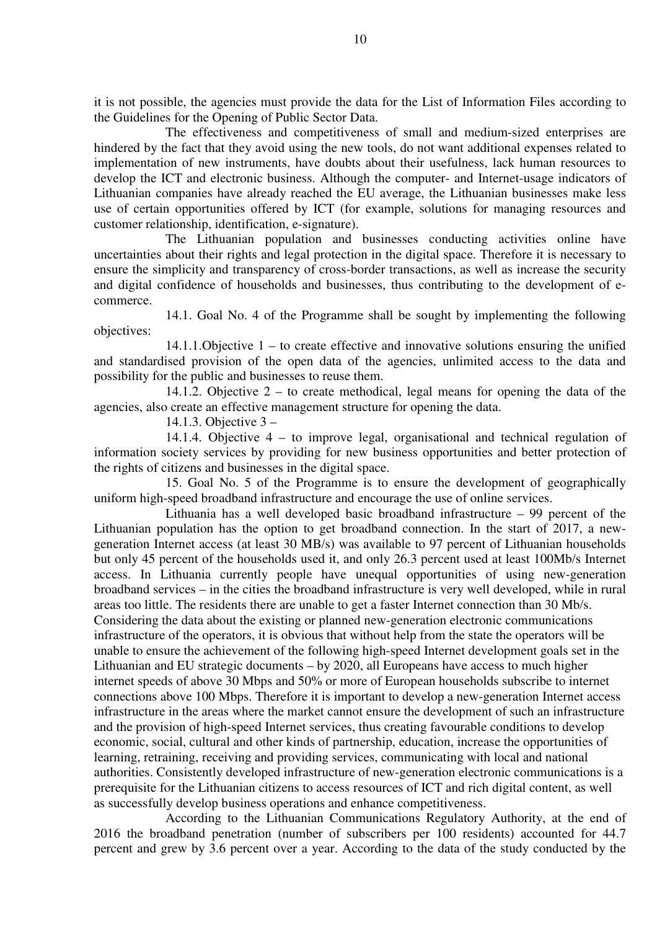it is not possible, the agencies must provide the data for the List of Information Files according to the Guidelines for the Opening of Public Sector Data.

The effectiveness and competitiveness of small and medium-sized enterprises are hindered by the fact that they avoid using the new tools, do not want additional expenses related to implementation of new instruments, have doubts about their usefulness, lack human resources to develop the ICT and electronic business. Although the computer- and Internet-usage indicators of Lithuanian companies have already reached the EU average, the Lithuanian businesses make less use of certain opportunities offered by ICT (for example, solutions for managing resources and customer relationship, identification, e-signature).

The Lithuanian population and businesses conducting activities online have uncertainties about their rights and legal protection in the digital space. Therefore it is necessary to ensure the simplicity and transparency of cross-border transactions, as well as increase the security and digital confidence of households and businesses, thus contributing to the development of ecommerce.

14.1. Goal No. 4 of the Programme shall be sought by implementing the following objectives:

14.1.1.Objective 1 – to create effective and innovative solutions ensuring the unified and standardised provision of the open data of the agencies, unlimited access to the data and possibility for the public and businesses to reuse them.

14.1.2. Objective 2 – to create methodical, legal means for opening the data of the agencies, also create an effective management structure for opening the data.

14.1.3. Objective 3 –

14.1.4. Objective 4 – to improve legal, organisational and technical regulation of information society services by providing for new business opportunities and better protection of the rights of citizens and businesses in the digital space.

15. Goal No. 5 of the Programme is to ensure the development of geographically uniform high-speed broadband infrastructure and encourage the use of online services.

Lithuania has a well developed basic broadband infrastructure – 99 percent of the Lithuanian population has the option to get broadband connection. In the start of 2017, a newgeneration Internet access (at least 30 MB/s) was available to 97 percent of Lithuanian households but only 45 percent of the households used it, and only 26.3 percent used at least 100Mb/s Internet access. In Lithuania currently people have unequal opportunities of using new-generation broadband services – in the cities the broadband infrastructure is very well developed, while in rural areas too little. The residents there are unable to get a faster Internet connection than 30 Mb/s. Considering the data about the existing or planned new-generation electronic communications infrastructure of the operators, it is obvious that without help from the state the operators will be unable to ensure the achievement of the following high-speed Internet development goals set in the Lithuanian and EU strategic documents – by 2020, all Europeans have access to much higher internet speeds of above 30 Mbps and 50% or more of European households subscribe to internet connections above 100 Mbps. Therefore it is important to develop a new-generation Internet access infrastructure in the areas where the market cannot ensure the development of such an infrastructure and the provision of high-speed Internet services, thus creating favourable conditions to develop economic, social, cultural and other kinds of partnership, education, increase the opportunities of learning, retraining, receiving and providing services, communicating with local and national authorities. Consistently developed infrastructure of new-generation electronic communications is a prerequisite for the Lithuanian citizens to access resources of ICT and rich digital content, as well as successfully develop business operations and enhance competitiveness.

According to the Lithuanian Communications Regulatory Authority, at the end of 2016 the broadband penetration (number of subscribers per 100 residents) accounted for 44.7 percent and grew by 3.6 percent over a year. According to the data of the study conducted by the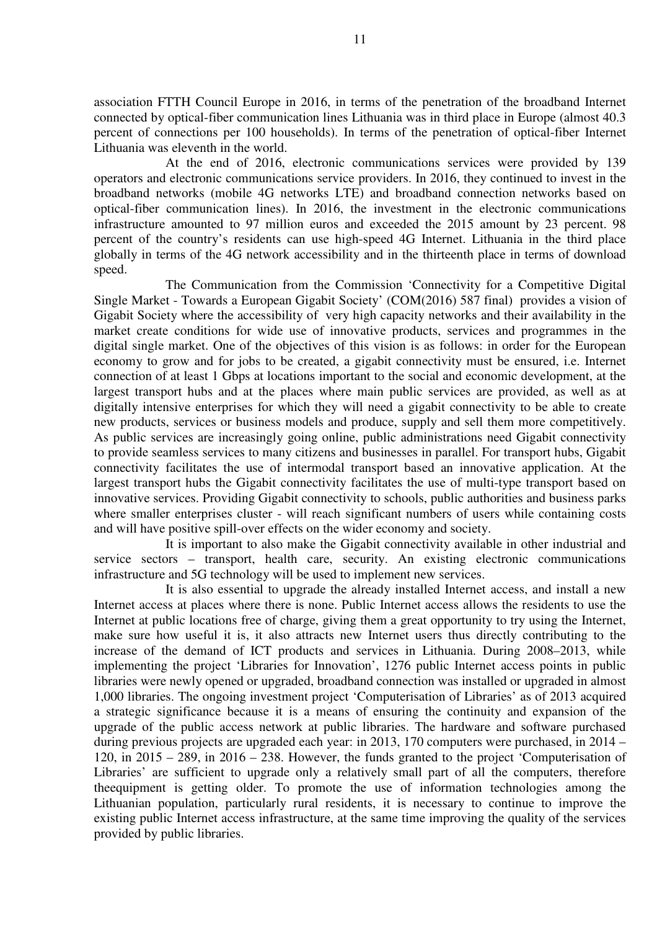association FTTH Council Europe in 2016, in terms of the penetration of the broadband Internet connected by optical-fiber communication lines Lithuania was in third place in Europe (almost 40.3 percent of connections per 100 households). In terms of the penetration of optical-fiber Internet Lithuania was eleventh in the world.

At the end of 2016, electronic communications services were provided by 139 operators and electronic communications service providers. In 2016, they continued to invest in the broadband networks (mobile 4G networks LTE) and broadband connection networks based on optical-fiber communication lines). In 2016, the investment in the electronic communications infrastructure amounted to 97 million euros and exceeded the 2015 amount by 23 percent. 98 percent of the country's residents can use high-speed 4G Internet. Lithuania in the third place globally in terms of the 4G network accessibility and in the thirteenth place in terms of download speed.

The Communication from the Commission 'Connectivity for a Competitive Digital Single Market - Towards a European Gigabit Society' (COM(2016) 587 final) provides a vision of Gigabit Society where the accessibility of very high capacity networks and their availability in the market create conditions for wide use of innovative products, services and programmes in the digital single market. One of the objectives of this vision is as follows: in order for the European economy to grow and for jobs to be created, a gigabit connectivity must be ensured, i.e. Internet connection of at least 1 Gbps at locations important to the social and economic development, at the largest transport hubs and at the places where main public services are provided, as well as at digitally intensive enterprises for which they will need a gigabit connectivity to be able to create new products, services or business models and produce, supply and sell them more competitively. As public services are increasingly going online, public administrations need Gigabit connectivity to provide seamless services to many citizens and businesses in parallel. For transport hubs, Gigabit connectivity facilitates the use of intermodal transport based an innovative application. At the largest transport hubs the Gigabit connectivity facilitates the use of multi-type transport based on innovative services. Providing Gigabit connectivity to schools, public authorities and business parks where smaller enterprises cluster - will reach significant numbers of users while containing costs and will have positive spill-over effects on the wider economy and society.

It is important to also make the Gigabit connectivity available in other industrial and service sectors – transport, health care, security. An existing electronic communications infrastructure and 5G technology will be used to implement new services.

It is also essential to upgrade the already installed Internet access, and install a new Internet access at places where there is none. Public Internet access allows the residents to use the Internet at public locations free of charge, giving them a great opportunity to try using the Internet, make sure how useful it is, it also attracts new Internet users thus directly contributing to the increase of the demand of ICT products and services in Lithuania. During 2008–2013, while implementing the project 'Libraries for Innovation', 1276 public Internet access points in public libraries were newly opened or upgraded, broadband connection was installed or upgraded in almost 1,000 libraries. The ongoing investment project 'Computerisation of Libraries' as of 2013 acquired a strategic significance because it is a means of ensuring the continuity and expansion of the upgrade of the public access network at public libraries. The hardware and software purchased during previous projects are upgraded each year: in 2013, 170 computers were purchased, in 2014 – 120, in 2015 – 289, in 2016 – 238. However, the funds granted to the project 'Computerisation of Libraries' are sufficient to upgrade only a relatively small part of all the computers, therefore theequipment is getting older. To promote the use of information technologies among the Lithuanian population, particularly rural residents, it is necessary to continue to improve the existing public Internet access infrastructure, at the same time improving the quality of the services provided by public libraries.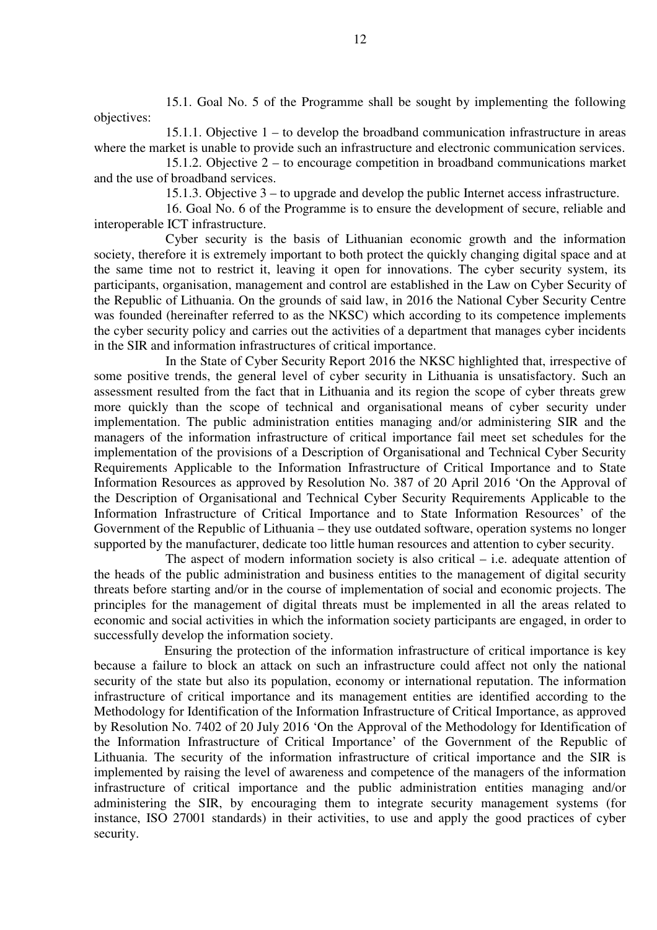15.1. Goal No. 5 of the Programme shall be sought by implementing the following objectives:

15.1.1. Objective 1 – to develop the broadband communication infrastructure in areas where the market is unable to provide such an infrastructure and electronic communication services.

15.1.2. Objective 2 – to encourage competition in broadband communications market and the use of broadband services.

15.1.3. Objective 3 – to upgrade and develop the public Internet access infrastructure.

16. Goal No. 6 of the Programme is to ensure the development of secure, reliable and interoperable ICT infrastructure.

Cyber security is the basis of Lithuanian economic growth and the information society, therefore it is extremely important to both protect the quickly changing digital space and at the same time not to restrict it, leaving it open for innovations. The cyber security system, its participants, organisation, management and control are established in the Law on Cyber Security of the Republic of Lithuania. On the grounds of said law, in 2016 the National Cyber Security Centre was founded (hereinafter referred to as the NKSC) which according to its competence implements the cyber security policy and carries out the activities of a department that manages cyber incidents in the SIR and information infrastructures of critical importance.

In the State of Cyber Security Report 2016 the NKSC highlighted that, irrespective of some positive trends, the general level of cyber security in Lithuania is unsatisfactory. Such an assessment resulted from the fact that in Lithuania and its region the scope of cyber threats grew more quickly than the scope of technical and organisational means of cyber security under implementation. The public administration entities managing and/or administering SIR and the managers of the information infrastructure of critical importance fail meet set schedules for the implementation of the provisions of a Description of Organisational and Technical Cyber Security Requirements Applicable to the Information Infrastructure of Critical Importance and to State Information Resources as approved by Resolution No. 387 of 20 April 2016 'On the Approval of the Description of Organisational and Technical Cyber Security Requirements Applicable to the Information Infrastructure of Critical Importance and to State Information Resources' of the Government of the Republic of Lithuania – they use outdated software, operation systems no longer supported by the manufacturer, dedicate too little human resources and attention to cyber security.

The aspect of modern information society is also critical – i.e. adequate attention of the heads of the public administration and business entities to the management of digital security threats before starting and/or in the course of implementation of social and economic projects. The principles for the management of digital threats must be implemented in all the areas related to economic and social activities in which the information society participants are engaged, in order to successfully develop the information society.

Ensuring the protection of the information infrastructure of critical importance is key because a failure to block an attack on such an infrastructure could affect not only the national security of the state but also its population, economy or international reputation. The information infrastructure of critical importance and its management entities are identified according to the Methodology for Identification of the Information Infrastructure of Critical Importance, as approved by Resolution No. 7402 of 20 July 2016 'On the Approval of the Methodology for Identification of the Information Infrastructure of Critical Importance' of the Government of the Republic of Lithuania. The security of the information infrastructure of critical importance and the SIR is implemented by raising the level of awareness and competence of the managers of the information infrastructure of critical importance and the public administration entities managing and/or administering the SIR, by encouraging them to integrate security management systems (for instance, ISO 27001 standards) in their activities, to use and apply the good practices of cyber security.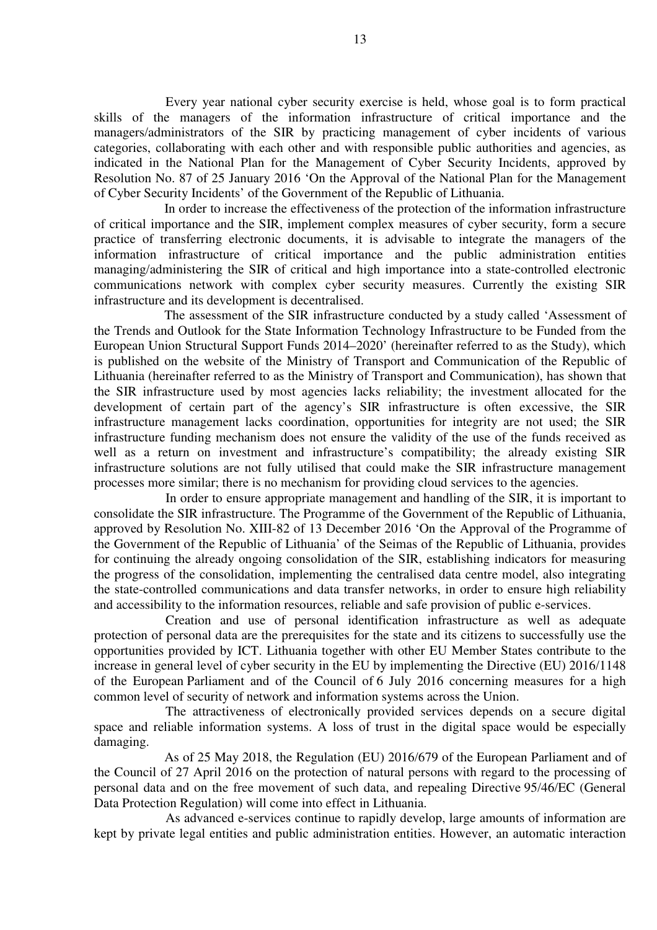Every year national cyber security exercise is held, whose goal is to form practical skills of the managers of the information infrastructure of critical importance and the managers/administrators of the SIR by practicing management of cyber incidents of various categories, collaborating with each other and with responsible public authorities and agencies, as indicated in the National Plan for the Management of Cyber Security Incidents, approved by Resolution No. 87 of 25 January 2016 'On the Approval of the National Plan for the Management of Cyber Security Incidents' of the Government of the Republic of Lithuania.

In order to increase the effectiveness of the protection of the information infrastructure of critical importance and the SIR, implement complex measures of cyber security, form a secure practice of transferring electronic documents, it is advisable to integrate the managers of the information infrastructure of critical importance and the public administration entities managing/administering the SIR of critical and high importance into a state-controlled electronic communications network with complex cyber security measures. Currently the existing SIR infrastructure and its development is decentralised.

The assessment of the SIR infrastructure conducted by a study called 'Assessment of the Trends and Outlook for the State Information Technology Infrastructure to be Funded from the European Union Structural Support Funds 2014–2020' (hereinafter referred to as the Study), which is published on the website of the Ministry of Transport and Communication of the Republic of Lithuania (hereinafter referred to as the Ministry of Transport and Communication), has shown that the SIR infrastructure used by most agencies lacks reliability; the investment allocated for the development of certain part of the agency's SIR infrastructure is often excessive, the SIR infrastructure management lacks coordination, opportunities for integrity are not used; the SIR infrastructure funding mechanism does not ensure the validity of the use of the funds received as well as a return on investment and infrastructure's compatibility; the already existing SIR infrastructure solutions are not fully utilised that could make the SIR infrastructure management processes more similar; there is no mechanism for providing cloud services to the agencies.

In order to ensure appropriate management and handling of the SIR, it is important to consolidate the SIR infrastructure. The Programme of the Government of the Republic of Lithuania, approved by Resolution No. XIII-82 of 13 December 2016 'On the Approval of the Programme of the Government of the Republic of Lithuania' of the Seimas of the Republic of Lithuania, provides for continuing the already ongoing consolidation of the SIR, establishing indicators for measuring the progress of the consolidation, implementing the centralised data centre model, also integrating the state-controlled communications and data transfer networks, in order to ensure high reliability and accessibility to the information resources, reliable and safe provision of public e-services.

Creation and use of personal identification infrastructure as well as adequate protection of personal data are the prerequisites for the state and its citizens to successfully use the opportunities provided by ICT. Lithuania together with other EU Member States contribute to the increase in general level of cyber security in the EU by implementing the Directive (EU) 2016/1148 of the European Parliament and of the Council of 6 July 2016 concerning measures for a high common level of security of network and information systems across the Union.

The attractiveness of electronically provided services depends on a secure digital space and reliable information systems. A loss of trust in the digital space would be especially damaging.

As of 25 May 2018, the Regulation (EU) 2016/679 of the European Parliament and of the Council of 27 April 2016 on the protection of natural persons with regard to the processing of personal data and on the free movement of such data, and repealing Directive 95/46/EC (General Data Protection Regulation) will come into effect in Lithuania.

As advanced e-services continue to rapidly develop, large amounts of information are kept by private legal entities and public administration entities. However, an automatic interaction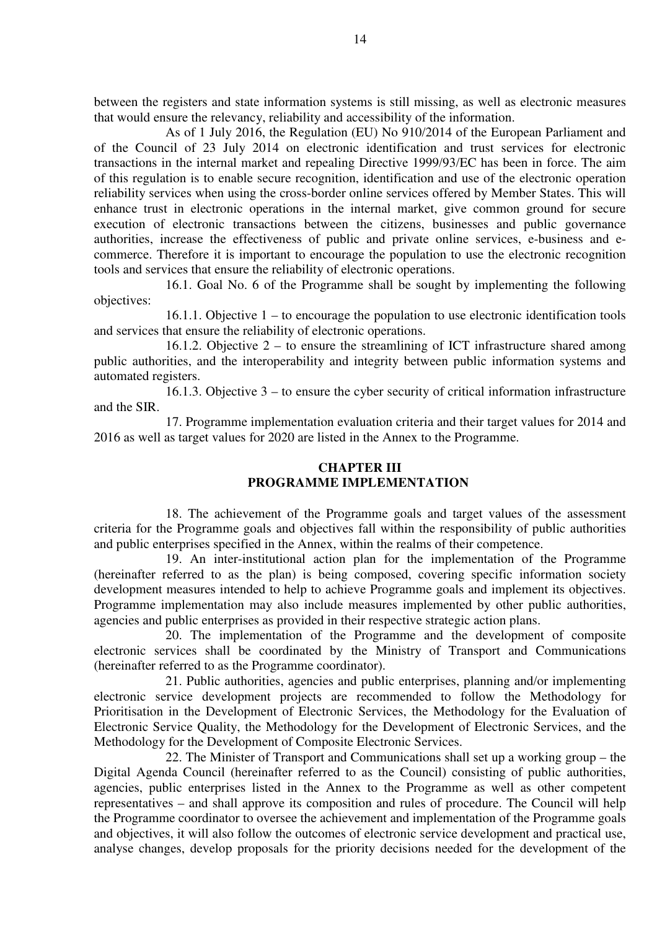between the registers and state information systems is still missing, as well as electronic measures that would ensure the relevancy, reliability and accessibility of the information.

As of 1 July 2016, the Regulation (EU) No 910/2014 of the European Parliament and of the Council of 23 July 2014 on electronic identification and trust services for electronic transactions in the internal market and repealing Directive 1999/93/EC has been in force. The aim of this regulation is to enable secure recognition, identification and use of the electronic operation reliability services when using the cross-border online services offered by Member States. This will enhance trust in electronic operations in the internal market, give common ground for secure execution of electronic transactions between the citizens, businesses and public governance authorities, increase the effectiveness of public and private online services, e-business and ecommerce. Therefore it is important to encourage the population to use the electronic recognition tools and services that ensure the reliability of electronic operations.

16.1. Goal No. 6 of the Programme shall be sought by implementing the following objectives:

16.1.1. Objective 1 – to encourage the population to use electronic identification tools and services that ensure the reliability of electronic operations.

16.1.2. Objective 2 – to ensure the streamlining of ICT infrastructure shared among public authorities, and the interoperability and integrity between public information systems and automated registers.

16.1.3. Objective 3 – to ensure the cyber security of critical information infrastructure and the SIR.

17. Programme implementation evaluation criteria and their target values for 2014 and 2016 as well as target values for 2020 are listed in the Annex to the Programme.

# **CHAPTER III PROGRAMME IMPLEMENTATION**

18. The achievement of the Programme goals and target values of the assessment criteria for the Programme goals and objectives fall within the responsibility of public authorities and public enterprises specified in the Annex, within the realms of their competence.

19. An inter-institutional action plan for the implementation of the Programme (hereinafter referred to as the plan) is being composed, covering specific information society development measures intended to help to achieve Programme goals and implement its objectives. Programme implementation may also include measures implemented by other public authorities, agencies and public enterprises as provided in their respective strategic action plans.

20. The implementation of the Programme and the development of composite electronic services shall be coordinated by the Ministry of Transport and Communications (hereinafter referred to as the Programme coordinator).

21. Public authorities, agencies and public enterprises, planning and/or implementing electronic service development projects are recommended to follow the Methodology for Prioritisation in the Development of Electronic Services, the Methodology for the Evaluation of Electronic Service Quality, the Methodology for the Development of Electronic Services, and the Methodology for the Development of Composite Electronic Services.

22. The Minister of Transport and Communications shall set up a working group – the Digital Agenda Council (hereinafter referred to as the Council) consisting of public authorities, agencies, public enterprises listed in the Annex to the Programme as well as other competent representatives – and shall approve its composition and rules of procedure. The Council will help the Programme coordinator to oversee the achievement and implementation of the Programme goals and objectives, it will also follow the outcomes of electronic service development and practical use, analyse changes, develop proposals for the priority decisions needed for the development of the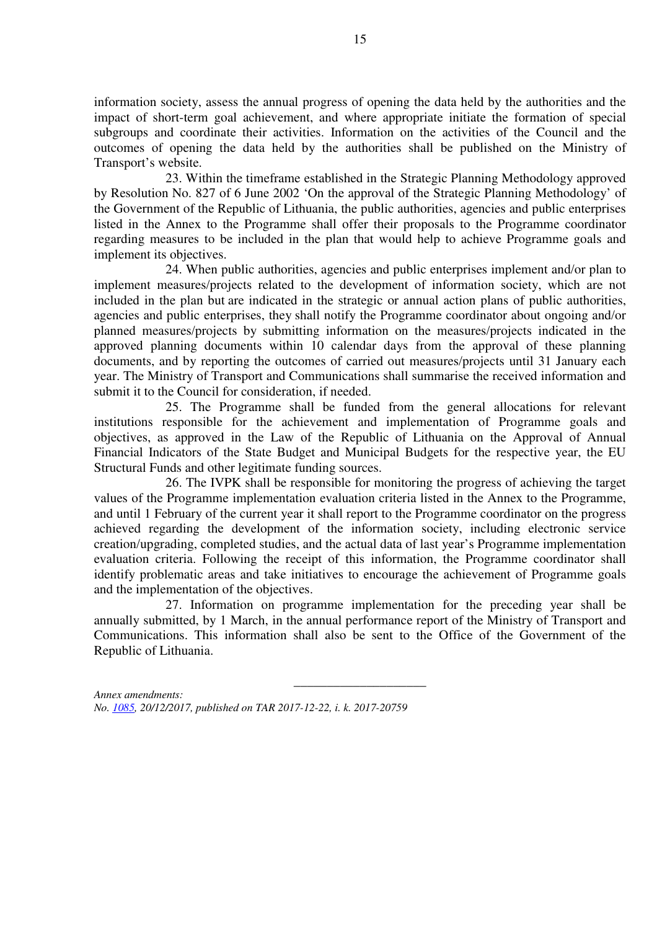information society, assess the annual progress of opening the data held by the authorities and the impact of short-term goal achievement, and where appropriate initiate the formation of special subgroups and coordinate their activities. Information on the activities of the Council and the outcomes of opening the data held by the authorities shall be published on the Ministry of Transport's website.

23. Within the timeframe established in the Strategic Planning Methodology approved by Resolution No. 827 of 6 June 2002 'On the approval of the Strategic Planning Methodology' of the Government of the Republic of Lithuania, the public authorities, agencies and public enterprises listed in the Annex to the Programme shall offer their proposals to the Programme coordinator regarding measures to be included in the plan that would help to achieve Programme goals and implement its objectives.

24. When public authorities, agencies and public enterprises implement and/or plan to implement measures/projects related to the development of information society, which are not included in the plan but are indicated in the strategic or annual action plans of public authorities, agencies and public enterprises, they shall notify the Programme coordinator about ongoing and/or planned measures/projects by submitting information on the measures/projects indicated in the approved planning documents within 10 calendar days from the approval of these planning documents, and by reporting the outcomes of carried out measures/projects until 31 January each year. The Ministry of Transport and Communications shall summarise the received information and submit it to the Council for consideration, if needed.

25. The Programme shall be funded from the general allocations for relevant institutions responsible for the achievement and implementation of Programme goals and objectives, as approved in the Law of the Republic of Lithuania on the Approval of Annual Financial Indicators of the State Budget and Municipal Budgets for the respective year, the EU Structural Funds and other legitimate funding sources.

26. The IVPK shall be responsible for monitoring the progress of achieving the target values of the Programme implementation evaluation criteria listed in the Annex to the Programme, and until 1 February of the current year it shall report to the Programme coordinator on the progress achieved regarding the development of the information society, including electronic service creation/upgrading, completed studies, and the actual data of last year's Programme implementation evaluation criteria. Following the receipt of this information, the Programme coordinator shall identify problematic areas and take initiatives to encourage the achievement of Programme goals and the implementation of the objectives.

27. Information on programme implementation for the preceding year shall be annually submitted, by 1 March, in the annual performance report of the Ministry of Transport and Communications. This information shall also be sent to the Office of the Government of the Republic of Lithuania.

\_\_\_\_\_\_\_\_\_\_\_\_\_\_\_\_\_\_\_\_

*Annex amendments: No. 1085, 20/12/2017, published on TAR 2017-12-22, i. k. 2017-20759*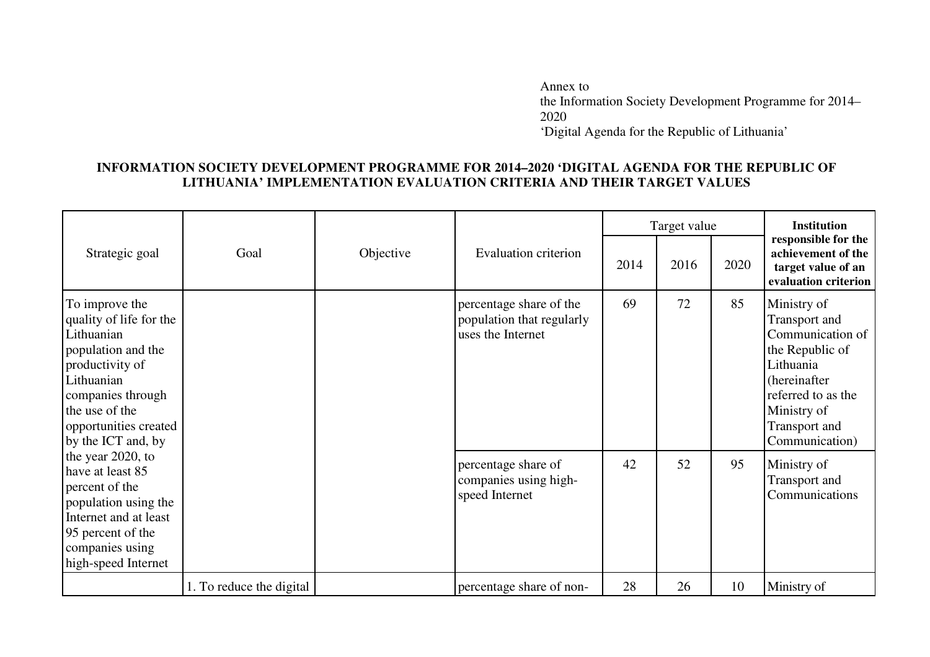Annex to the Information Society Development Programme for 2014–2020 'Digital Agenda for the Republic of Lithuania'

# **INFORMATION SOCIETY DEVELOPMENT PROGRAMME FOR 2014–2020 'DIGITAL AGENDA FOR THE REPUBLIC OF LITHUANIA' IMPLEMENTATION EVALUATION CRITERIA AND THEIR TARGET VALUES**

|                                                                                                                                                                                                      |                          |           |                                                                           |      | Target value |      | <b>Institution</b>                                                                                                                                                        |
|------------------------------------------------------------------------------------------------------------------------------------------------------------------------------------------------------|--------------------------|-----------|---------------------------------------------------------------------------|------|--------------|------|---------------------------------------------------------------------------------------------------------------------------------------------------------------------------|
| Strategic goal                                                                                                                                                                                       | Goal                     | Objective | Evaluation criterion                                                      | 2014 | 2016         | 2020 | responsible for the<br>achievement of the<br>target value of an<br>evaluation criterion                                                                                   |
| To improve the<br>quality of life for the<br>Lithuanian<br>population and the<br>productivity of<br>Lithuanian<br>companies through<br>the use of the<br>opportunities created<br>by the ICT and, by |                          |           | percentage share of the<br>population that regularly<br>uses the Internet | 69   | 72           | 85   | Ministry of<br>Transport and<br>Communication of<br>the Republic of<br>Lithuania<br>(hereinafter)<br>referred to as the<br>Ministry of<br>Transport and<br>Communication) |
| the year 2020, to<br>have at least 85<br>percent of the<br>population using the<br>Internet and at least<br>95 percent of the<br>companies using<br>high-speed Internet                              |                          |           | percentage share of<br>companies using high-<br>speed Internet            | 42   | 52           | 95   | Ministry of<br>Transport and<br>Communications                                                                                                                            |
|                                                                                                                                                                                                      | 1. To reduce the digital |           | percentage share of non-                                                  | 28   | 26           | 10   | Ministry of                                                                                                                                                               |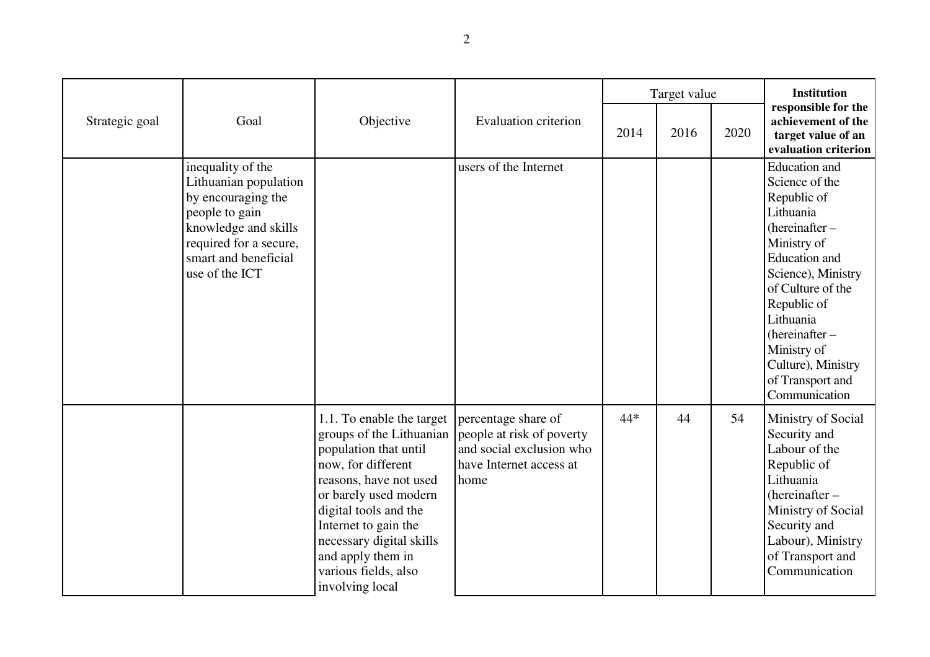|                | Goal                                                                                                                                                                           |                                                                                                                                                                                                                                                                                                                              |                                                                                          |      | Target value |      | <b>Institution</b>                                                                                                                                                                                                                                                                       |
|----------------|--------------------------------------------------------------------------------------------------------------------------------------------------------------------------------|------------------------------------------------------------------------------------------------------------------------------------------------------------------------------------------------------------------------------------------------------------------------------------------------------------------------------|------------------------------------------------------------------------------------------|------|--------------|------|------------------------------------------------------------------------------------------------------------------------------------------------------------------------------------------------------------------------------------------------------------------------------------------|
| Strategic goal |                                                                                                                                                                                | Objective                                                                                                                                                                                                                                                                                                                    | <b>Evaluation criterion</b>                                                              | 2014 | 2016         | 2020 | responsible for the<br>achievement of the<br>target value of an<br>evaluation criterion                                                                                                                                                                                                  |
|                | inequality of the<br>Lithuanian population<br>by encouraging the<br>people to gain<br>knowledge and skills<br>required for a secure,<br>smart and beneficial<br>use of the ICT |                                                                                                                                                                                                                                                                                                                              | users of the Internet                                                                    |      |              |      | <b>Education</b> and<br>Science of the<br>Republic of<br>Lithuania<br>$(hereinafter -$<br>Ministry of<br>Education and<br>Science), Ministry<br>of Culture of the<br>Republic of<br>Lithuania<br>(hereinafter-<br>Ministry of<br>Culture), Ministry<br>of Transport and<br>Communication |
|                |                                                                                                                                                                                | 1.1. To enable the target $ $ percentage share of<br>groups of the Lithuanian<br>population that until<br>now, for different<br>reasons, have not used<br>or barely used modern<br>digital tools and the<br>Internet to gain the<br>necessary digital skills<br>and apply them in<br>various fields, also<br>involving local | people at risk of poverty<br>and social exclusion who<br>have Internet access at<br>home | 44*  | 44           | 54   | Ministry of Social<br>Security and<br>Labour of the<br>Republic of<br>Lithuania<br>(hereinafter –<br>Ministry of Social<br>Security and<br>Labour), Ministry<br>of Transport and<br>Communication                                                                                        |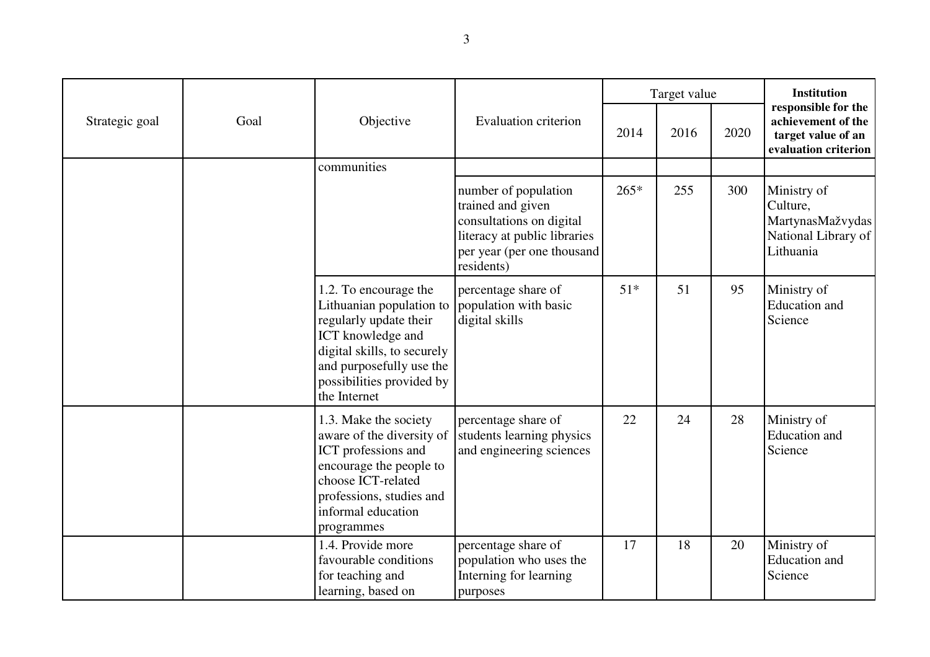|                |      |                                                                                                                                                                                                          |                                                                                                                                                   |        | Target value |      | <b>Institution</b>                                                                      |
|----------------|------|----------------------------------------------------------------------------------------------------------------------------------------------------------------------------------------------------------|---------------------------------------------------------------------------------------------------------------------------------------------------|--------|--------------|------|-----------------------------------------------------------------------------------------|
| Strategic goal | Goal | Objective                                                                                                                                                                                                | <b>Evaluation criterion</b>                                                                                                                       | 2014   | 2016         | 2020 | responsible for the<br>achievement of the<br>target value of an<br>evaluation criterion |
|                |      | communities                                                                                                                                                                                              |                                                                                                                                                   |        |              |      |                                                                                         |
|                |      |                                                                                                                                                                                                          | number of population<br>trained and given<br>consultations on digital<br>literacy at public libraries<br>per year (per one thousand<br>residents) | $265*$ | 255          | 300  | Ministry of<br>Culture,<br>MartynasMažvydas<br>National Library of<br>Lithuania         |
|                |      | 1.2. To encourage the<br>Lithuanian population to<br>regularly update their<br>ICT knowledge and<br>digital skills, to securely<br>and purposefully use the<br>possibilities provided by<br>the Internet | percentage share of<br>population with basic<br>digital skills                                                                                    | $51*$  | 51           | 95   | Ministry of<br><b>Education</b> and<br>Science                                          |
|                |      | 1.3. Make the society<br>aware of the diversity of<br>ICT professions and<br>encourage the people to<br>choose ICT-related<br>professions, studies and<br>informal education<br>programmes               | percentage share of<br>students learning physics<br>and engineering sciences                                                                      | 22     | 24           | 28   | Ministry of<br><b>Education</b> and<br>Science                                          |
|                |      | 1.4. Provide more<br>favourable conditions<br>for teaching and<br>learning, based on                                                                                                                     | percentage share of<br>population who uses the<br>Interning for learning<br>purposes                                                              | 17     | 18           | 20   | Ministry of<br><b>Education</b> and<br>Science                                          |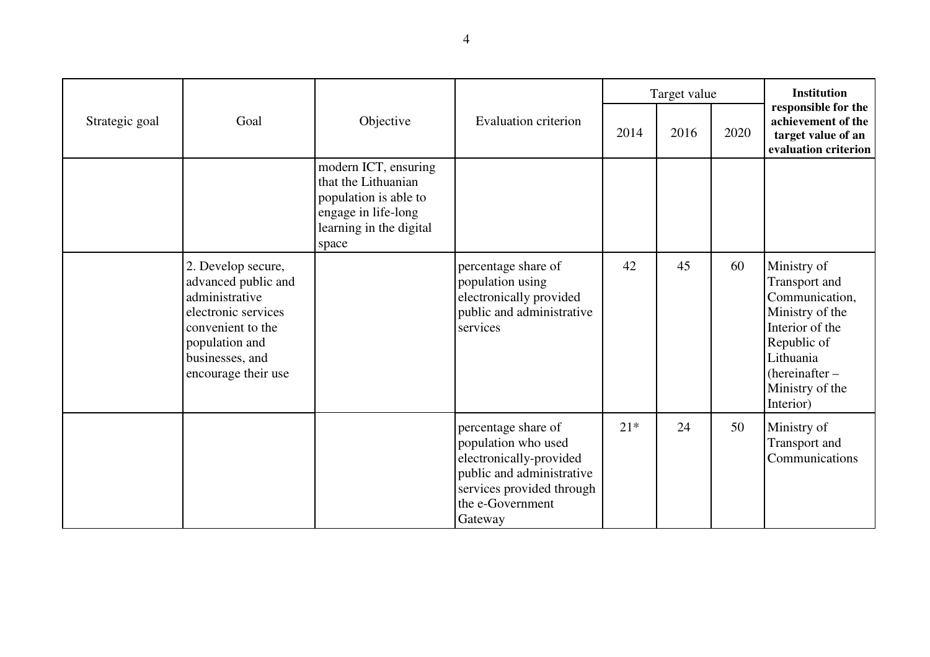|                |                                                                                                                                                                     |                                                                                                                                 |                                                                                                                                                                |       | Target value |      | <b>Institution</b>                                                                                                                                                 |  |
|----------------|---------------------------------------------------------------------------------------------------------------------------------------------------------------------|---------------------------------------------------------------------------------------------------------------------------------|----------------------------------------------------------------------------------------------------------------------------------------------------------------|-------|--------------|------|--------------------------------------------------------------------------------------------------------------------------------------------------------------------|--|
| Strategic goal | Goal                                                                                                                                                                | Objective                                                                                                                       | <b>Evaluation criterion</b>                                                                                                                                    | 2014  | 2016         | 2020 | responsible for the<br>achievement of the<br>target value of an<br>evaluation criterion                                                                            |  |
|                |                                                                                                                                                                     | modern ICT, ensuring<br>that the Lithuanian<br>population is able to<br>engage in life-long<br>learning in the digital<br>space |                                                                                                                                                                |       |              |      |                                                                                                                                                                    |  |
|                | 2. Develop secure,<br>advanced public and<br>administrative<br>electronic services<br>convenient to the<br>population and<br>businesses, and<br>encourage their use |                                                                                                                                 | percentage share of<br>population using<br>electronically provided<br>public and administrative<br>services                                                    | 42    | 45           | 60   | Ministry of<br>Transport and<br>Communication,<br>Ministry of the<br>Interior of the<br>Republic of<br>Lithuania<br>(hereinafter –<br>Ministry of the<br>Interior) |  |
|                |                                                                                                                                                                     |                                                                                                                                 | percentage share of<br>population who used<br>electronically-provided<br>public and administrative<br>services provided through<br>the e-Government<br>Gateway | $21*$ | 24           | 50   | Ministry of<br>Transport and<br>Communications                                                                                                                     |  |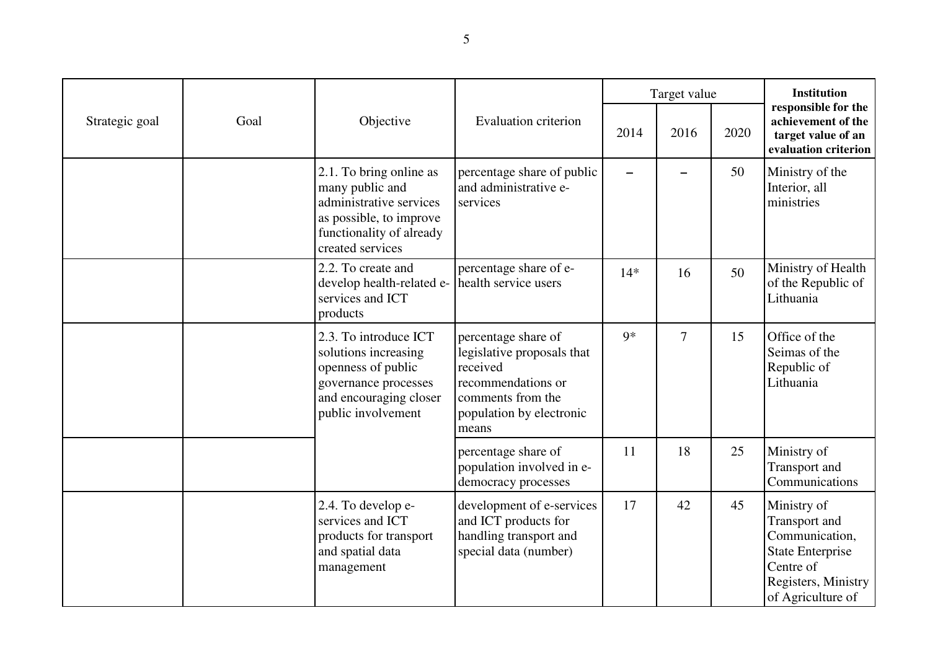|                | Goal |                                                                                                                                                  |                                                                                                                                               |       | Target value   |      | <b>Institution</b>                                                                                                                 |
|----------------|------|--------------------------------------------------------------------------------------------------------------------------------------------------|-----------------------------------------------------------------------------------------------------------------------------------------------|-------|----------------|------|------------------------------------------------------------------------------------------------------------------------------------|
| Strategic goal |      | Objective                                                                                                                                        | <b>Evaluation criterion</b>                                                                                                                   | 2014  | 2016           | 2020 | responsible for the<br>achievement of the<br>target value of an<br>evaluation criterion                                            |
|                |      | 2.1. To bring online as<br>many public and<br>administrative services<br>as possible, to improve<br>functionality of already<br>created services | percentage share of public<br>and administrative e-<br>services                                                                               |       |                | 50   | Ministry of the<br>Interior, all<br>ministries                                                                                     |
|                |      | 2.2. To create and<br>develop health-related e- health service users<br>services and ICT<br>products                                             | percentage share of e-                                                                                                                        | $14*$ | 16             | 50   | Ministry of Health<br>of the Republic of<br>Lithuania                                                                              |
|                |      | 2.3. To introduce ICT<br>solutions increasing<br>openness of public<br>governance processes<br>and encouraging closer<br>public involvement      | percentage share of<br>legislative proposals that<br>received<br>recommendations or<br>comments from the<br>population by electronic<br>means | $9*$  | $\overline{7}$ | 15   | Office of the<br>Seimas of the<br>Republic of<br>Lithuania                                                                         |
|                |      |                                                                                                                                                  | percentage share of<br>population involved in e-<br>democracy processes                                                                       | 11    | 18             | 25   | Ministry of<br>Transport and<br>Communications                                                                                     |
|                |      | 2.4. To develop e-<br>services and ICT<br>products for transport<br>and spatial data<br>management                                               | development of e-services<br>and ICT products for<br>handling transport and<br>special data (number)                                          | 17    | 42             | 45   | Ministry of<br>Transport and<br>Communication,<br><b>State Enterprise</b><br>Centre of<br>Registers, Ministry<br>of Agriculture of |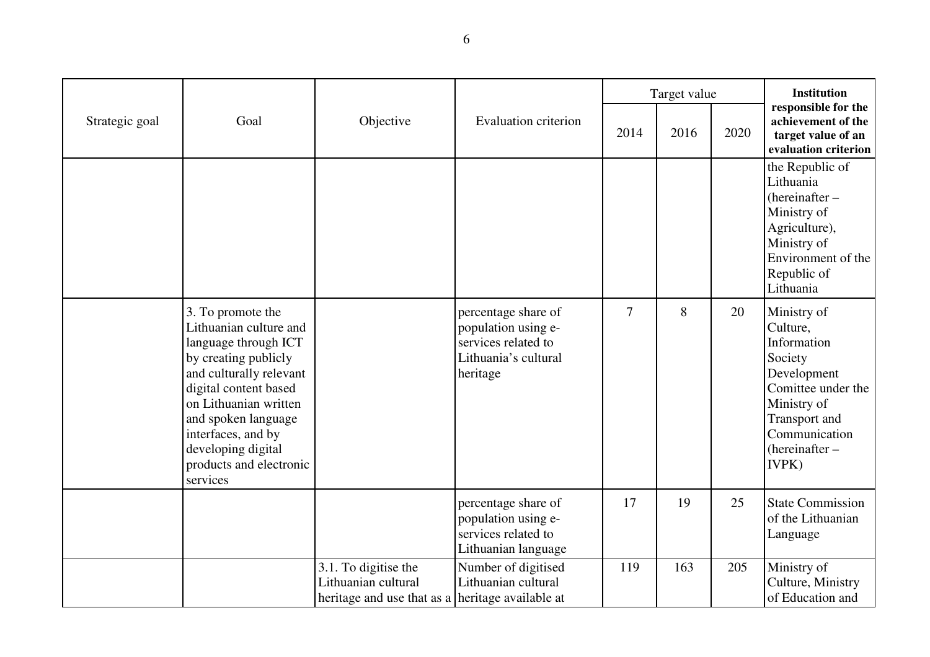|                |                                                                                                                                                                                                                                                                                    |                                                                                                 |                                                                                                       |                | Target value |      | <b>Institution</b>                                                                                                                                                 |
|----------------|------------------------------------------------------------------------------------------------------------------------------------------------------------------------------------------------------------------------------------------------------------------------------------|-------------------------------------------------------------------------------------------------|-------------------------------------------------------------------------------------------------------|----------------|--------------|------|--------------------------------------------------------------------------------------------------------------------------------------------------------------------|
| Strategic goal | Goal                                                                                                                                                                                                                                                                               | Objective                                                                                       | <b>Evaluation criterion</b>                                                                           | 2014           | 2016         | 2020 | responsible for the<br>achievement of the<br>target value of an<br>evaluation criterion                                                                            |
|                |                                                                                                                                                                                                                                                                                    |                                                                                                 |                                                                                                       |                |              |      | the Republic of<br>Lithuania<br>(hereinafter –<br>Ministry of<br>Agriculture),<br>Ministry of<br>Environment of the<br>Republic of<br>Lithuania                    |
|                | 3. To promote the<br>Lithuanian culture and<br>language through ICT<br>by creating publicly<br>and culturally relevant<br>digital content based<br>on Lithuanian written<br>and spoken language<br>interfaces, and by<br>developing digital<br>products and electronic<br>services |                                                                                                 | percentage share of<br>population using e-<br>services related to<br>Lithuania's cultural<br>heritage | $\overline{7}$ | 8            | 20   | Ministry of<br>Culture,<br>Information<br>Society<br>Development<br>Comittee under the<br>Ministry of<br>Transport and<br>Communication<br>(hereinafter –<br>IVPK) |
|                |                                                                                                                                                                                                                                                                                    |                                                                                                 | percentage share of<br>population using e-<br>services related to<br>Lithuanian language              | 17             | 19           | 25   | <b>State Commission</b><br>of the Lithuanian<br>Language                                                                                                           |
|                |                                                                                                                                                                                                                                                                                    | 3.1. To digitise the<br>Lithuanian cultural<br>heritage and use that as a heritage available at | Number of digitised<br>Lithuanian cultural                                                            | 119            | 163          | 205  | Ministry of<br>Culture, Ministry<br>of Education and                                                                                                               |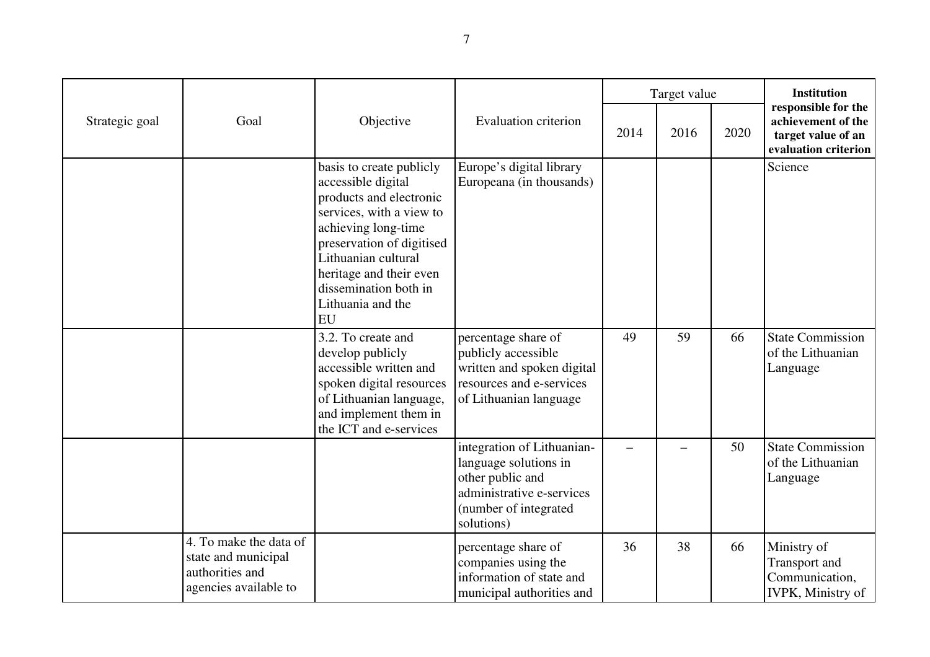|                |                                                                                           |                                                                                                                                                                                                                                                                        |                                                                                                                                             |      | Target value |      | <b>Institution</b>                                                                      |
|----------------|-------------------------------------------------------------------------------------------|------------------------------------------------------------------------------------------------------------------------------------------------------------------------------------------------------------------------------------------------------------------------|---------------------------------------------------------------------------------------------------------------------------------------------|------|--------------|------|-----------------------------------------------------------------------------------------|
| Strategic goal | Goal                                                                                      | Objective                                                                                                                                                                                                                                                              | <b>Evaluation criterion</b>                                                                                                                 | 2014 | 2016         | 2020 | responsible for the<br>achievement of the<br>target value of an<br>evaluation criterion |
|                |                                                                                           | basis to create publicly<br>accessible digital<br>products and electronic<br>services, with a view to<br>achieving long-time<br>preservation of digitised<br>Lithuanian cultural<br>heritage and their even<br>dissemination both in<br>Lithuania and the<br><b>EU</b> | Europe's digital library<br>Europeana (in thousands)                                                                                        |      |              |      | Science                                                                                 |
|                |                                                                                           | 3.2. To create and<br>develop publicly<br>accessible written and<br>spoken digital resources<br>of Lithuanian language,<br>and implement them in<br>the ICT and e-services                                                                                             | percentage share of<br>publicly accessible<br>written and spoken digital<br>resources and e-services<br>of Lithuanian language              | 49   | 59           | 66   | <b>State Commission</b><br>of the Lithuanian<br>Language                                |
|                |                                                                                           |                                                                                                                                                                                                                                                                        | integration of Lithuanian-<br>language solutions in<br>other public and<br>administrative e-services<br>(number of integrated<br>solutions) |      |              | 50   | <b>State Commission</b><br>of the Lithuanian<br>Language                                |
|                | 4. To make the data of<br>state and municipal<br>authorities and<br>agencies available to |                                                                                                                                                                                                                                                                        | percentage share of<br>companies using the<br>information of state and<br>municipal authorities and                                         | 36   | 38           | 66   | Ministry of<br>Transport and<br>Communication,<br>IVPK, Ministry of                     |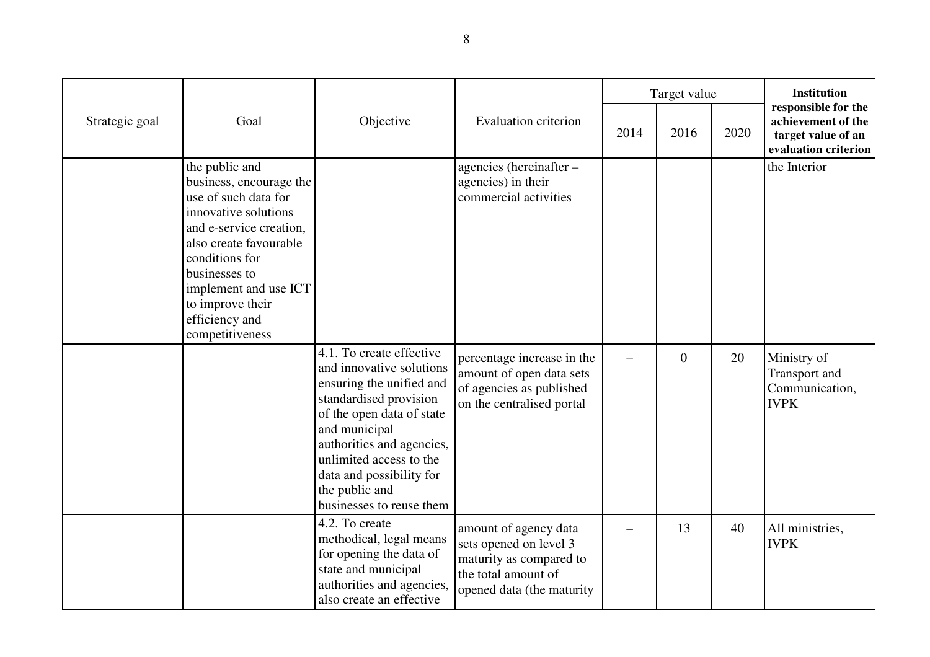|                |                                                                                                                                                                                                                                                                     |                                                                                                                                                                                                                                                                |                                                                                                                                |      | Target value   |      | <b>Institution</b>                                                                      |
|----------------|---------------------------------------------------------------------------------------------------------------------------------------------------------------------------------------------------------------------------------------------------------------------|----------------------------------------------------------------------------------------------------------------------------------------------------------------------------------------------------------------------------------------------------------------|--------------------------------------------------------------------------------------------------------------------------------|------|----------------|------|-----------------------------------------------------------------------------------------|
| Strategic goal | Goal                                                                                                                                                                                                                                                                | Objective                                                                                                                                                                                                                                                      | <b>Evaluation criterion</b>                                                                                                    | 2014 | 2016           | 2020 | responsible for the<br>achievement of the<br>target value of an<br>evaluation criterion |
|                | the public and<br>business, encourage the<br>use of such data for<br>innovative solutions<br>and e-service creation,<br>also create favourable<br>conditions for<br>businesses to<br>implement and use ICT<br>to improve their<br>efficiency and<br>competitiveness | 4.1. To create effective                                                                                                                                                                                                                                       | agencies (hereinafter -<br>agencies) in their<br>commercial activities<br>percentage increase in the                           |      | $\overline{0}$ | 20   | the Interior<br>Ministry of                                                             |
|                |                                                                                                                                                                                                                                                                     | and innovative solutions<br>ensuring the unified and<br>standardised provision<br>of the open data of state<br>and municipal<br>authorities and agencies,<br>unlimited access to the<br>data and possibility for<br>the public and<br>businesses to reuse them | amount of open data sets<br>of agencies as published<br>on the centralised portal                                              |      |                |      | Transport and<br>Communication,<br><b>IVPK</b>                                          |
|                |                                                                                                                                                                                                                                                                     | 4.2. To create<br>methodical, legal means<br>for opening the data of<br>state and municipal<br>authorities and agencies,<br>also create an effective                                                                                                           | amount of agency data<br>sets opened on level 3<br>maturity as compared to<br>the total amount of<br>opened data (the maturity |      | 13             | 40   | All ministries,<br><b>IVPK</b>                                                          |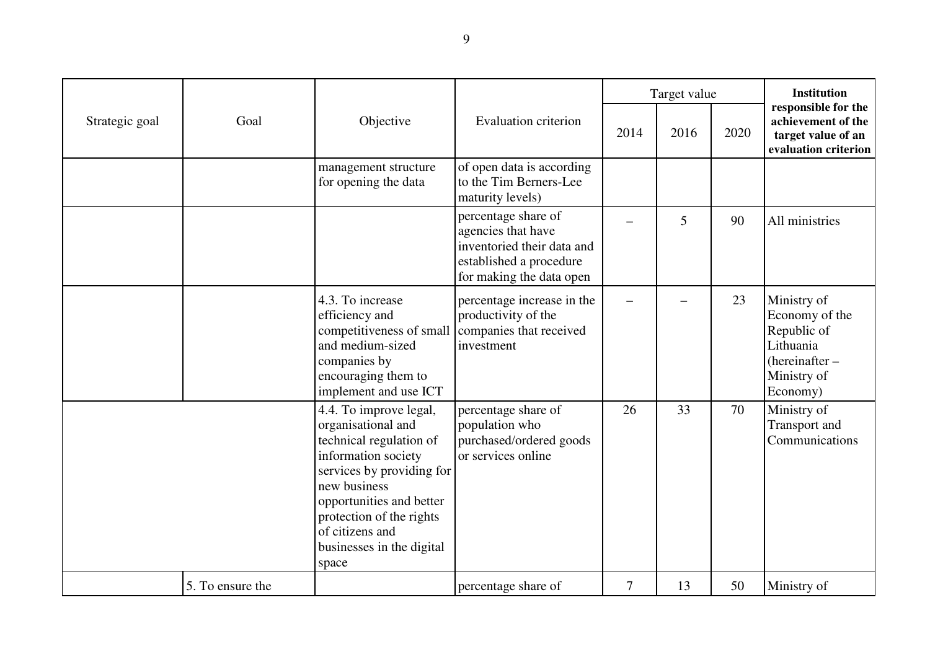|                | Objective<br>Goal |                                                                                                                                                                                                                                                              |                                                                                                                                |      | Target value | <b>Institution</b>                                                                      |                                                                                                          |
|----------------|-------------------|--------------------------------------------------------------------------------------------------------------------------------------------------------------------------------------------------------------------------------------------------------------|--------------------------------------------------------------------------------------------------------------------------------|------|--------------|-----------------------------------------------------------------------------------------|----------------------------------------------------------------------------------------------------------|
| Strategic goal |                   | <b>Evaluation criterion</b>                                                                                                                                                                                                                                  | 2014                                                                                                                           | 2016 | 2020         | responsible for the<br>achievement of the<br>target value of an<br>evaluation criterion |                                                                                                          |
|                |                   | management structure<br>for opening the data                                                                                                                                                                                                                 | of open data is according<br>to the Tim Berners-Lee<br>maturity levels)                                                        |      |              |                                                                                         |                                                                                                          |
|                |                   |                                                                                                                                                                                                                                                              | percentage share of<br>agencies that have<br>inventoried their data and<br>established a procedure<br>for making the data open |      | 5            | 90                                                                                      | All ministries                                                                                           |
|                |                   | 4.3. To increase<br>efficiency and<br>competitiveness of small companies that received<br>and medium-sized<br>companies by<br>encouraging them to<br>implement and use ICT                                                                                   | percentage increase in the<br>productivity of the<br>investment                                                                |      |              | 23                                                                                      | Ministry of<br>Economy of the<br>Republic of<br>Lithuania<br>$(hereinafter -$<br>Ministry of<br>Economy) |
|                |                   | 4.4. To improve legal,<br>organisational and<br>technical regulation of<br>information society<br>services by providing for<br>new business<br>opportunities and better<br>protection of the rights<br>of citizens and<br>businesses in the digital<br>space | percentage share of<br>population who<br>purchased/ordered goods<br>or services online                                         | 26   | 33           | 70                                                                                      | Ministry of<br>Transport and<br>Communications                                                           |
|                | 5. To ensure the  |                                                                                                                                                                                                                                                              | percentage share of                                                                                                            | 7    | 13           | 50                                                                                      | Ministry of                                                                                              |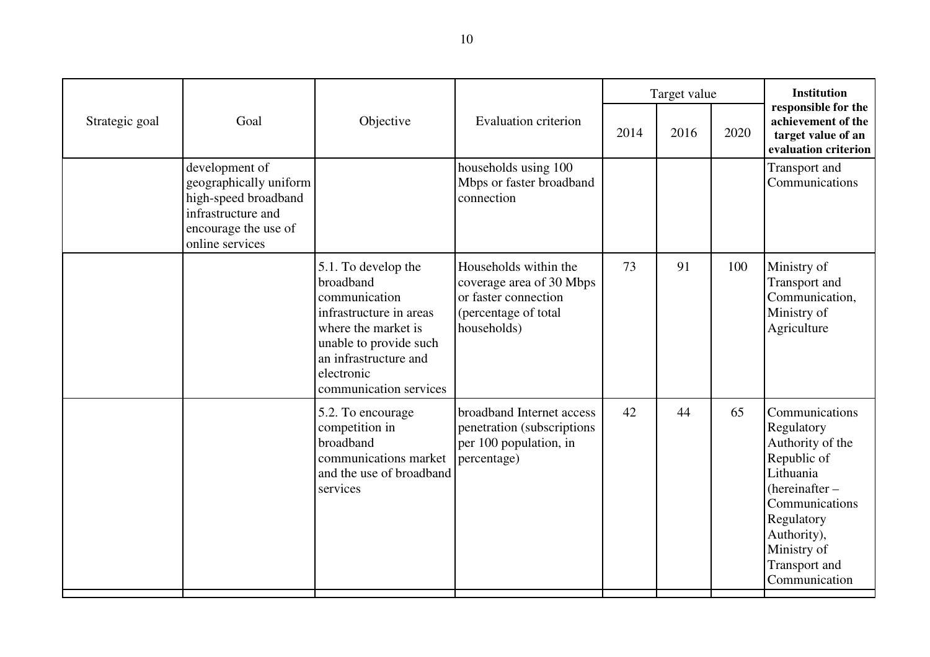|                |                                                                                                                                   |                                                                                                                                                                                                |                                                                                                                  |      | Target value |      | <b>Institution</b>                                                                                                                                                                               |
|----------------|-----------------------------------------------------------------------------------------------------------------------------------|------------------------------------------------------------------------------------------------------------------------------------------------------------------------------------------------|------------------------------------------------------------------------------------------------------------------|------|--------------|------|--------------------------------------------------------------------------------------------------------------------------------------------------------------------------------------------------|
| Strategic goal | Goal                                                                                                                              | Objective                                                                                                                                                                                      | <b>Evaluation criterion</b>                                                                                      | 2014 | 2016         | 2020 | responsible for the<br>achievement of the<br>target value of an<br>evaluation criterion                                                                                                          |
|                | development of<br>geographically uniform<br>high-speed broadband<br>infrastructure and<br>encourage the use of<br>online services |                                                                                                                                                                                                | households using 100<br>Mbps or faster broadband<br>connection                                                   |      |              |      | <b>Transport</b> and<br>Communications                                                                                                                                                           |
|                |                                                                                                                                   | 5.1. To develop the<br>broadband<br>communication<br>infrastructure in areas<br>where the market is<br>unable to provide such<br>an infrastructure and<br>electronic<br>communication services | Households within the<br>coverage area of 30 Mbps<br>or faster connection<br>(percentage of total<br>households) | 73   | 91           | 100  | Ministry of<br>Transport and<br>Communication,<br>Ministry of<br>Agriculture                                                                                                                     |
|                |                                                                                                                                   | 5.2. To encourage<br>competition in<br>broadband<br>communications market<br>and the use of broadband<br>services                                                                              | broadband Internet access<br>penetration (subscriptions)<br>per 100 population, in<br>percentage)                | 42   | 44           | 65   | Communications<br>Regulatory<br>Authority of the<br>Republic of<br>Lithuania<br>(hereinafter $-$<br>Communications<br>Regulatory<br>Authority),<br>Ministry of<br>Transport and<br>Communication |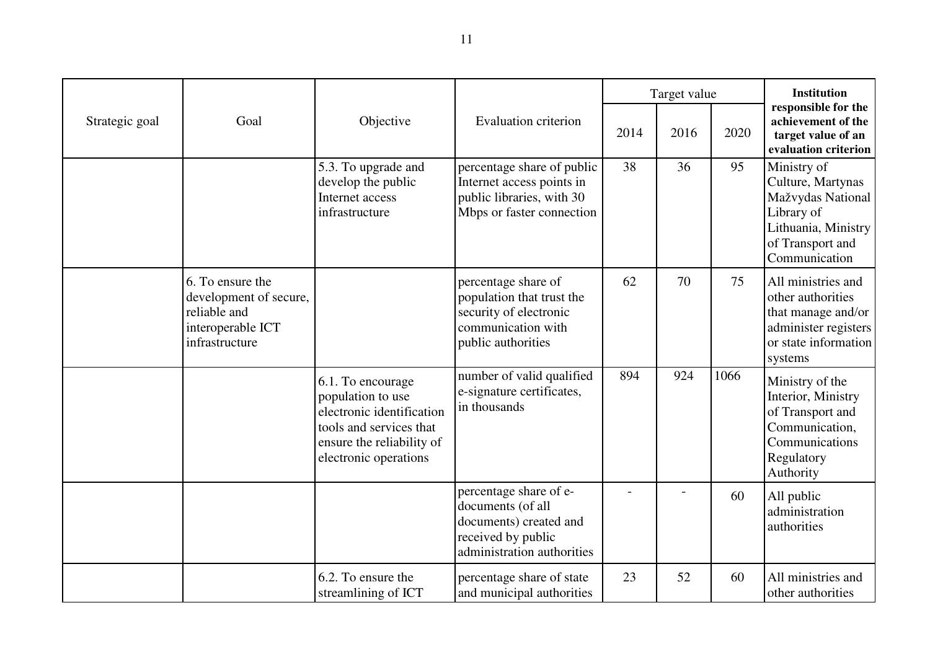|                |                                                                                                   |                                                                                                                                                      |                                                                                                                           |      | Target value |      | <b>Institution</b>                                                                                                              |
|----------------|---------------------------------------------------------------------------------------------------|------------------------------------------------------------------------------------------------------------------------------------------------------|---------------------------------------------------------------------------------------------------------------------------|------|--------------|------|---------------------------------------------------------------------------------------------------------------------------------|
| Strategic goal | Goal                                                                                              | Objective                                                                                                                                            | Evaluation criterion                                                                                                      | 2014 | 2016         | 2020 | responsible for the<br>achievement of the<br>target value of an<br>evaluation criterion                                         |
|                |                                                                                                   | 5.3. To upgrade and<br>develop the public<br>Internet access<br>infrastructure                                                                       | percentage share of public<br>Internet access points in<br>public libraries, with 30<br>Mbps or faster connection         | 38   | 36           | 95   | Ministry of<br>Culture, Martynas<br>Mažvydas National<br>Library of<br>Lithuania, Ministry<br>of Transport and<br>Communication |
|                | 6. To ensure the<br>development of secure,<br>reliable and<br>interoperable ICT<br>infrastructure |                                                                                                                                                      | percentage share of<br>population that trust the<br>security of electronic<br>communication with<br>public authorities    | 62   | 70           | 75   | All ministries and<br>other authorities<br>that manage and/or<br>administer registers<br>or state information<br>systems        |
|                |                                                                                                   | 6.1. To encourage<br>population to use<br>electronic identification<br>tools and services that<br>ensure the reliability of<br>electronic operations | number of valid qualified<br>e-signature certificates,<br>in thousands                                                    | 894  | 924          | 1066 | Ministry of the<br>Interior, Ministry<br>of Transport and<br>Communication,<br>Communications<br>Regulatory<br>Authority        |
|                |                                                                                                   |                                                                                                                                                      | percentage share of e-<br>documents (of all<br>documents) created and<br>received by public<br>administration authorities |      |              | 60   | All public<br>administration<br>authorities                                                                                     |
|                |                                                                                                   | 6.2. To ensure the<br>streamlining of ICT                                                                                                            | percentage share of state<br>and municipal authorities                                                                    | 23   | 52           | 60   | All ministries and<br>other authorities                                                                                         |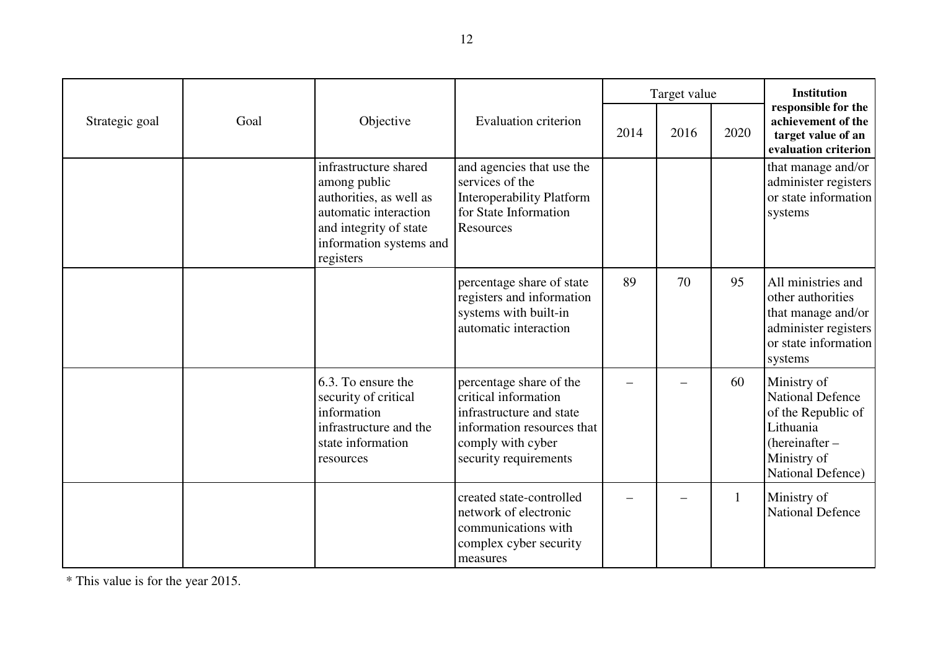|                |      |                                                                                                                                                             |                                                                                                                                                         |      | Target value |              | <b>Institution</b>                                                                                                              |
|----------------|------|-------------------------------------------------------------------------------------------------------------------------------------------------------------|---------------------------------------------------------------------------------------------------------------------------------------------------------|------|--------------|--------------|---------------------------------------------------------------------------------------------------------------------------------|
| Strategic goal | Goal | Objective                                                                                                                                                   | Evaluation criterion                                                                                                                                    | 2014 | 2016         | 2020         | responsible for the<br>achievement of the<br>target value of an<br>evaluation criterion                                         |
|                |      | infrastructure shared<br>among public<br>authorities, as well as<br>automatic interaction<br>and integrity of state<br>information systems and<br>registers | and agencies that use the<br>services of the<br><b>Interoperability Platform</b><br>for State Information<br>Resources                                  |      |              |              | that manage and/or<br>administer registers<br>or state information<br>systems                                                   |
|                |      |                                                                                                                                                             | percentage share of state<br>registers and information<br>systems with built-in<br>automatic interaction                                                | 89   | 70           | 95           | All ministries and<br>other authorities<br>that manage and/or<br>administer registers<br>or state information<br>systems        |
|                |      | 6.3. To ensure the<br>security of critical<br>information<br>infrastructure and the<br>state information<br>resources                                       | percentage share of the<br>critical information<br>infrastructure and state<br>information resources that<br>comply with cyber<br>security requirements |      |              | 60           | Ministry of<br><b>National Defence</b><br>of the Republic of<br>Lithuania<br>(hereinafter –<br>Ministry of<br>National Defence) |
|                |      |                                                                                                                                                             | created state-controlled<br>network of electronic<br>communications with<br>complex cyber security<br>measures                                          |      |              | $\mathbf{1}$ | Ministry of<br><b>National Defence</b>                                                                                          |

\* This value is for the year 2015.